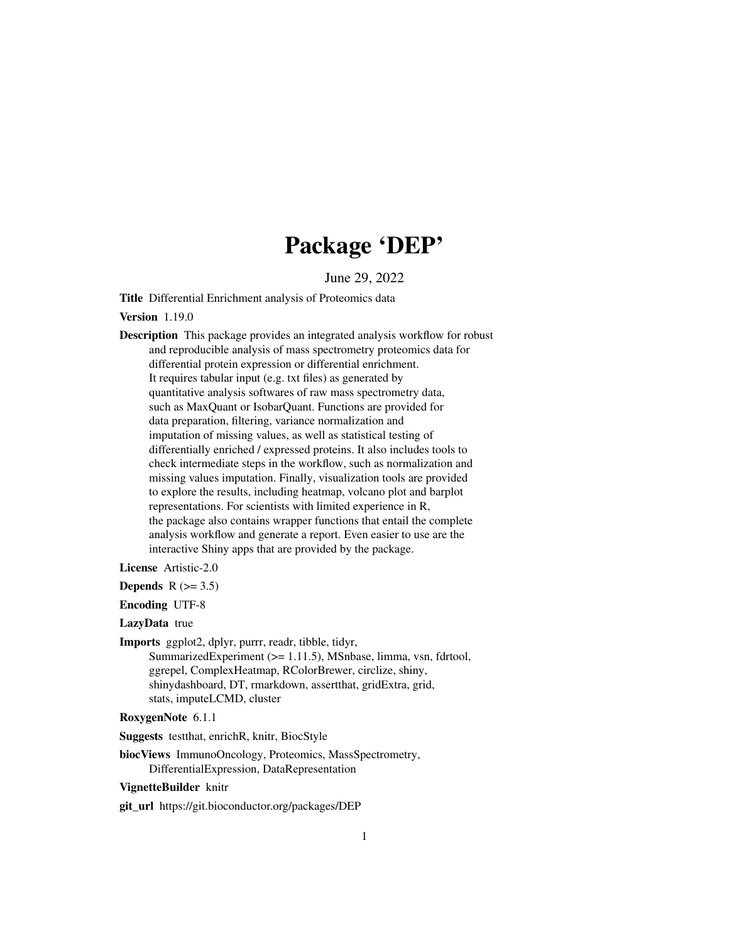# Package 'DEP'

June 29, 2022

<span id="page-0-0"></span>Title Differential Enrichment analysis of Proteomics data

Version 1.19.0

Description This package provides an integrated analysis workflow for robust and reproducible analysis of mass spectrometry proteomics data for differential protein expression or differential enrichment. It requires tabular input (e.g. txt files) as generated by quantitative analysis softwares of raw mass spectrometry data, such as MaxQuant or IsobarQuant. Functions are provided for data preparation, filtering, variance normalization and imputation of missing values, as well as statistical testing of differentially enriched / expressed proteins. It also includes tools to check intermediate steps in the workflow, such as normalization and missing values imputation. Finally, visualization tools are provided to explore the results, including heatmap, volcano plot and barplot representations. For scientists with limited experience in R, the package also contains wrapper functions that entail the complete analysis workflow and generate a report. Even easier to use are the interactive Shiny apps that are provided by the package.

License Artistic-2.0

Depends  $R$  ( $> = 3.5$ )

Encoding UTF-8

LazyData true

Imports ggplot2, dplyr, purrr, readr, tibble, tidyr, SummarizedExperiment (>= 1.11.5), MSnbase, limma, vsn, fdrtool, ggrepel, ComplexHeatmap, RColorBrewer, circlize, shiny, shinydashboard, DT, rmarkdown, assertthat, gridExtra, grid, stats, imputeLCMD, cluster

RoxygenNote 6.1.1

Suggests testthat, enrichR, knitr, BiocStyle

biocViews ImmunoOncology, Proteomics, MassSpectrometry, DifferentialExpression, DataRepresentation

#### VignetteBuilder knitr

git\_url https://git.bioconductor.org/packages/DEP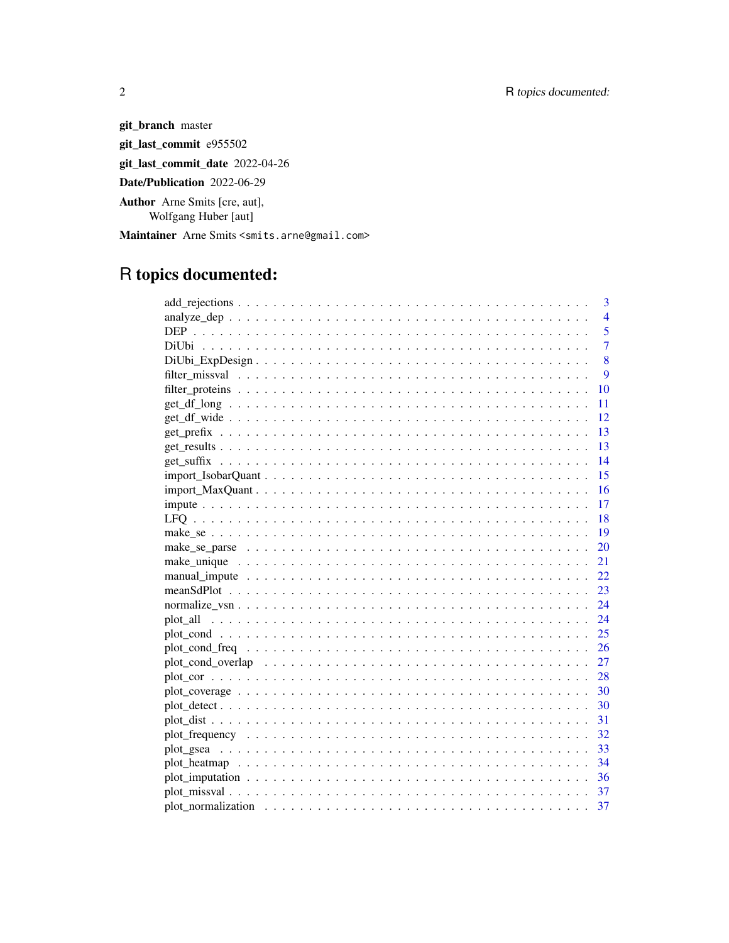git\_branch master git\_last\_commit e955502 git\_last\_commit\_date 2022-04-26

Date/Publication 2022-06-29

Author Arne Smits [cre, aut], Wolfgang Huber [aut]

Maintainer Arne Smits <smits.arne@gmail.com>

# R topics documented:

|                                                                                                                | $\overline{3}$  |
|----------------------------------------------------------------------------------------------------------------|-----------------|
|                                                                                                                | $\overline{4}$  |
|                                                                                                                | $\overline{5}$  |
|                                                                                                                | $\overline{7}$  |
|                                                                                                                | 8               |
|                                                                                                                | $\overline{Q}$  |
|                                                                                                                | 10              |
|                                                                                                                | 11              |
|                                                                                                                | -12             |
|                                                                                                                | $-13$           |
|                                                                                                                | $-13$           |
|                                                                                                                | $\overline{14}$ |
|                                                                                                                | -15             |
|                                                                                                                | $-16$           |
|                                                                                                                | 17              |
|                                                                                                                |                 |
|                                                                                                                | $-19$           |
|                                                                                                                | 20              |
|                                                                                                                | 21              |
|                                                                                                                | 22              |
|                                                                                                                | 23              |
|                                                                                                                |                 |
|                                                                                                                |                 |
|                                                                                                                |                 |
|                                                                                                                |                 |
|                                                                                                                |                 |
|                                                                                                                |                 |
| $plot\_coverage \ldots \ldots \ldots \ldots \ldots \ldots \ldots \ldots \ldots \ldots \ldots \ldots \ldots 30$ |                 |
|                                                                                                                |                 |
|                                                                                                                |                 |
|                                                                                                                |                 |
|                                                                                                                |                 |
|                                                                                                                |                 |
|                                                                                                                |                 |
|                                                                                                                |                 |
|                                                                                                                | 37              |

 $\sqrt{2}$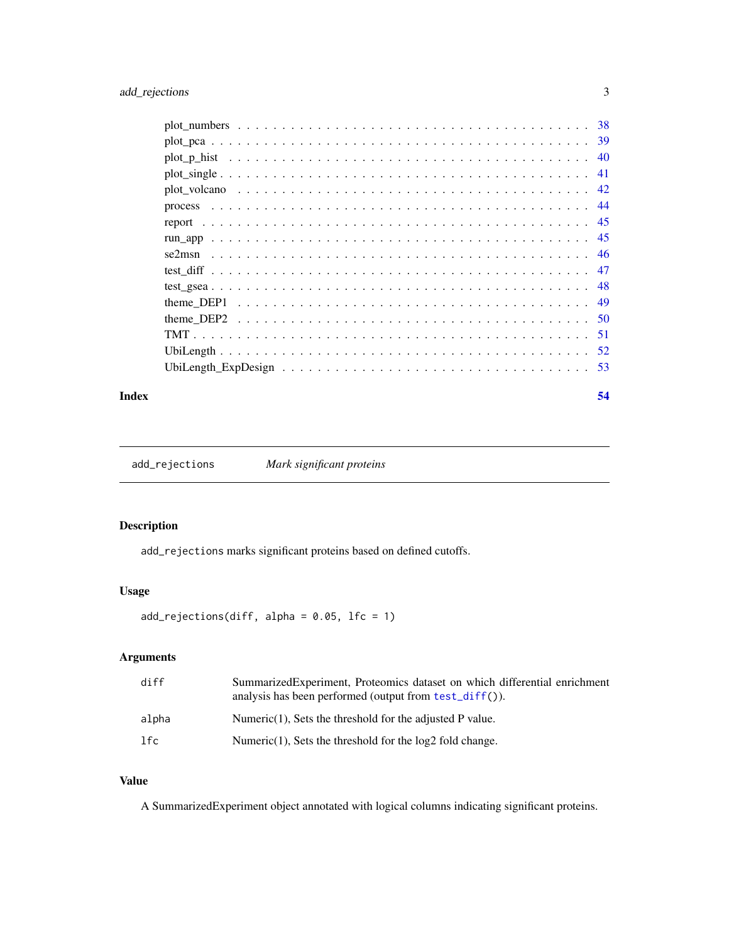<span id="page-2-0"></span>

#### **Index** [54](#page-53-0)

<span id="page-2-1"></span>add\_rejections *Mark significant proteins*

# Description

add\_rejections marks significant proteins based on defined cutoffs.

# Usage

 $add\_rejections(diff, alpha = 0.05, lfc = 1)$ 

# Arguments

| diff  | SummarizedExperiment, Proteomics dataset on which differential enrichment<br>analysis has been performed (output from $test\_diff()$ ). |
|-------|-----------------------------------------------------------------------------------------------------------------------------------------|
| alpha | Numeric $(1)$ , Sets the threshold for the adjusted P value.                                                                            |
| 1fc   | Numeric $(1)$ , Sets the threshold for the $log2$ fold change.                                                                          |

# Value

A SummarizedExperiment object annotated with logical columns indicating significant proteins.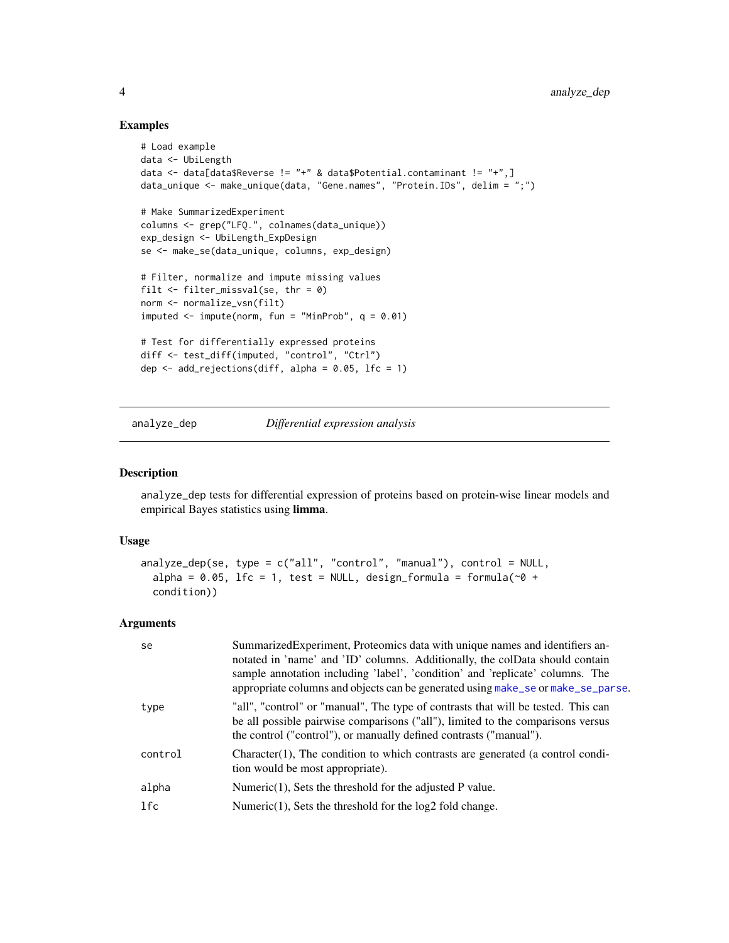# Examples

```
# Load example
data <- UbiLength
data <- data[data$Reverse != "+" & data$Potential.contaminant != "+",]
data_unique <- make_unique(data, "Gene.names", "Protein.IDs", delim = ";")
# Make SummarizedExperiment
columns <- grep("LFQ.", colnames(data_unique))
exp_design <- UbiLength_ExpDesign
se <- make_se(data_unique, columns, exp_design)
# Filter, normalize and impute missing values
filt <- filter_missval(se, thr = 0)
norm <- normalize_vsn(filt)
imputed \leq impute(norm, fun = "MinProb", q = 0.01)
# Test for differentially expressed proteins
diff <- test_diff(imputed, "control", "Ctrl")
dep \leq add_rejections(diff, alpha = 0.05, lfc = 1)
```
<span id="page-3-1"></span>

analyze\_dep *Differential expression analysis*

# Description

analyze\_dep tests for differential expression of proteins based on protein-wise linear models and empirical Bayes statistics using limma.

#### Usage

```
analyze_dep(se, type = c("all", "control", "manual"), control = NULL,
  alpha = 0.05, lfc = 1, test = NULL, design_formula = formula(\sim0 +
  condition))
```
# Arguments

| se      | Summarized Experiment, Proteomics data with unique names and identifiers an-<br>notated in 'name' and 'ID' columns. Additionally, the colData should contain<br>sample annotation including 'label', 'condition' and 'replicate' columns. The<br>appropriate columns and objects can be generated using make_se or make_se_parse. |
|---------|-----------------------------------------------------------------------------------------------------------------------------------------------------------------------------------------------------------------------------------------------------------------------------------------------------------------------------------|
| type    | "all", "control" or "manual", The type of contrasts that will be tested. This can<br>be all possible pairwise comparisons ("all"), limited to the comparisons versus<br>the control ("control"), or manually defined contrasts ("manual").                                                                                        |
| control | Character(1), The condition to which contrasts are generated (a control condi-<br>tion would be most appropriate).                                                                                                                                                                                                                |
| alpha   | Numeric $(1)$ , Sets the threshold for the adjusted P value.                                                                                                                                                                                                                                                                      |
| lfc     | Numeric $(1)$ , Sets the threshold for the $log2$ fold change.                                                                                                                                                                                                                                                                    |

<span id="page-3-0"></span>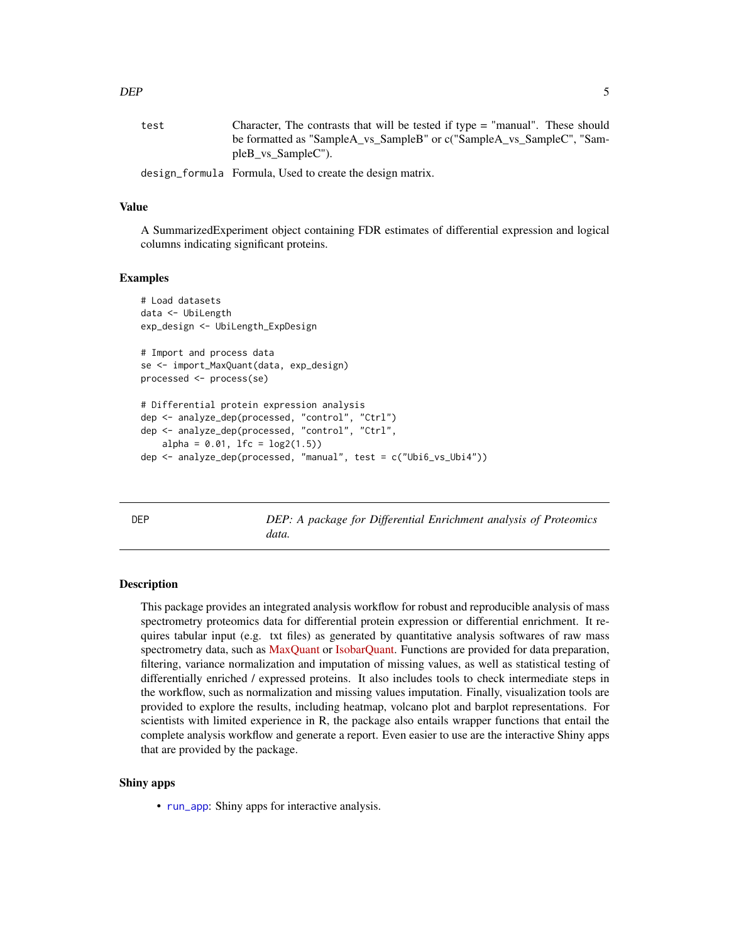<span id="page-4-0"></span>

| test | Character, The contrasts that will be tested if type = "manual". These should |
|------|-------------------------------------------------------------------------------|
|      | be formatted as "SampleA_vs_SampleB" or c("SampleA_vs_SampleC", "Sam-         |
|      | pleB vs SampleC").                                                            |
|      | design_formula Formula, Used to create the design matrix.                     |

Value

A SummarizedExperiment object containing FDR estimates of differential expression and logical columns indicating significant proteins.

#### Examples

```
# Load datasets
data <- UbiLength
exp_design <- UbiLength_ExpDesign
# Import and process data
se <- import_MaxQuant(data, exp_design)
processed <- process(se)
# Differential protein expression analysis
dep <- analyze_dep(processed, "control", "Ctrl")
dep <- analyze_dep(processed, "control", "Ctrl",
    alpha = 0.01, 1fc = log2(1.5)dep <- analyze_dep(processed, "manual", test = c("Ubi6_vs_Ubi4"))
```
<span id="page-4-1"></span>DEP *DEP: A package for Differential Enrichment analysis of Proteomics data.*

#### Description

This package provides an integrated analysis workflow for robust and reproducible analysis of mass spectrometry proteomics data for differential protein expression or differential enrichment. It requires tabular input (e.g. txt files) as generated by quantitative analysis softwares of raw mass spectrometry data, such as [MaxQuant](http://www.nature.com/nbt/journal/v26/n12/full/nbt.1511.html) or [IsobarQuant.](http://www.nature.com/nprot/journal/v10/n10/full/nprot.2015.101.html) Functions are provided for data preparation, filtering, variance normalization and imputation of missing values, as well as statistical testing of differentially enriched / expressed proteins. It also includes tools to check intermediate steps in the workflow, such as normalization and missing values imputation. Finally, visualization tools are provided to explore the results, including heatmap, volcano plot and barplot representations. For scientists with limited experience in R, the package also entails wrapper functions that entail the complete analysis workflow and generate a report. Even easier to use are the interactive Shiny apps that are provided by the package.

#### Shiny apps

• [run\\_app](#page-44-1): Shiny apps for interactive analysis.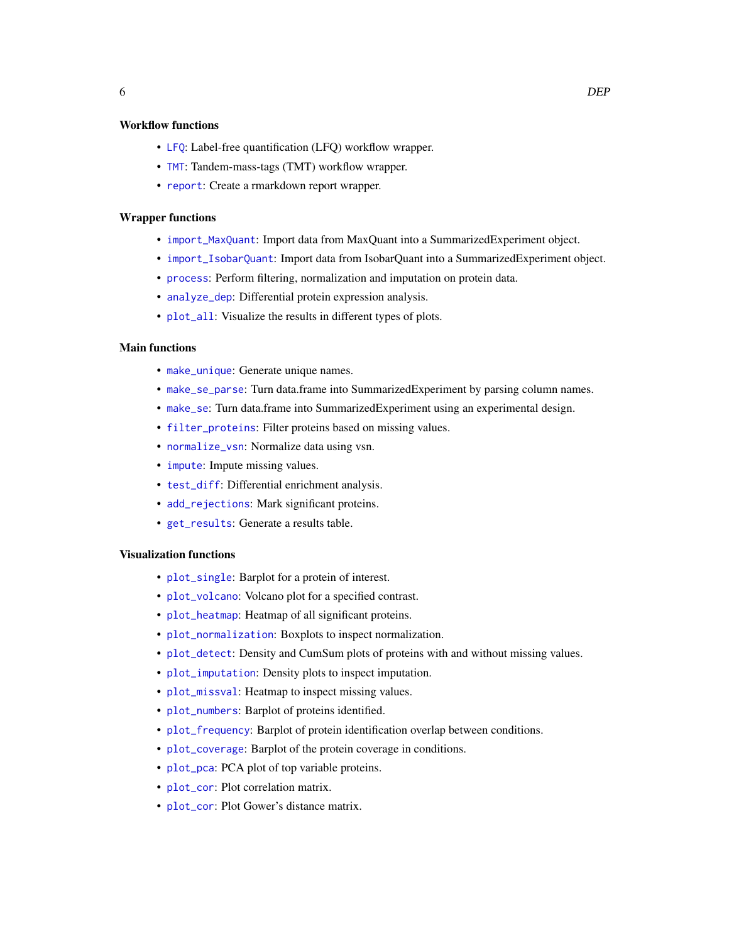# <span id="page-5-0"></span>Workflow functions

- [LFQ](#page-17-1): Label-free quantification (LFQ) workflow wrapper.
- [TMT](#page-50-1): Tandem-mass-tags (TMT) workflow wrapper.
- [report](#page-44-2): Create a rmarkdown report wrapper.

#### Wrapper functions

- [import\\_MaxQuant](#page-15-1): Import data from MaxQuant into a SummarizedExperiment object.
- [import\\_IsobarQuant](#page-14-1): Import data from IsobarQuant into a SummarizedExperiment object.
- [process](#page-43-1): Perform filtering, normalization and imputation on protein data.
- [analyze\\_dep](#page-3-1): Differential protein expression analysis.
- [plot\\_all](#page-23-1): Visualize the results in different types of plots.

# Main functions

- [make\\_unique](#page-20-1): Generate unique names.
- [make\\_se\\_parse](#page-19-1): Turn data.frame into SummarizedExperiment by parsing column names.
- [make\\_se](#page-18-1): Turn data.frame into SummarizedExperiment using an experimental design.
- [filter\\_proteins](#page-9-1): Filter proteins based on missing values.
- [normalize\\_vsn](#page-23-2): Normalize data using vsn.
- [impute](#page-16-1): Impute missing values.
- [test\\_diff](#page-46-1): Differential enrichment analysis.
- [add\\_rejections](#page-2-1): Mark significant proteins.
- [get\\_results](#page-12-1): Generate a results table.

# Visualization functions

- [plot\\_single](#page-40-1): Barplot for a protein of interest.
- [plot\\_volcano](#page-41-1): Volcano plot for a specified contrast.
- [plot\\_heatmap](#page-33-1): Heatmap of all significant proteins.
- [plot\\_normalization](#page-36-1): Boxplots to inspect normalization.
- [plot\\_detect](#page-29-1): Density and CumSum plots of proteins with and without missing values.
- [plot\\_imputation](#page-35-1): Density plots to inspect imputation.
- [plot\\_missval](#page-36-2): Heatmap to inspect missing values.
- [plot\\_numbers](#page-37-1): Barplot of proteins identified.
- [plot\\_frequency](#page-31-1): Barplot of protein identification overlap between conditions.
- [plot\\_coverage](#page-29-2): Barplot of the protein coverage in conditions.
- [plot\\_pca](#page-38-1): PCA plot of top variable proteins.
- [plot\\_cor](#page-27-1): Plot correlation matrix.
- [plot\\_cor](#page-27-1): Plot Gower's distance matrix.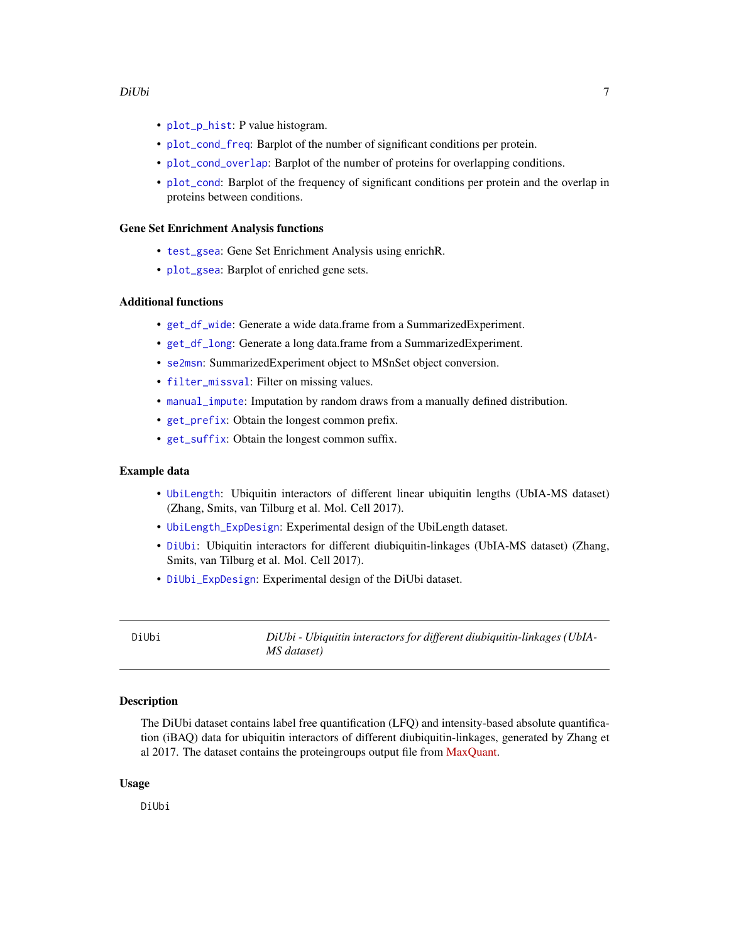- <span id="page-6-0"></span>• [plot\\_p\\_hist](#page-39-1): P value histogram.
- [plot\\_cond\\_freq](#page-25-1): Barplot of the number of significant conditions per protein.
- [plot\\_cond\\_overlap](#page-26-1): Barplot of the number of proteins for overlapping conditions.
- [plot\\_cond](#page-24-1): Barplot of the frequency of significant conditions per protein and the overlap in proteins between conditions.

#### Gene Set Enrichment Analysis functions

- [test\\_gsea](#page-47-1): Gene Set Enrichment Analysis using enrichR.
- [plot\\_gsea](#page-32-1): Barplot of enriched gene sets.

# Additional functions

- [get\\_df\\_wide](#page-11-1): Generate a wide data.frame from a SummarizedExperiment.
- [get\\_df\\_long](#page-10-1): Generate a long data.frame from a SummarizedExperiment.
- [se2msn](#page-45-1): SummarizedExperiment object to MSnSet object conversion.
- [filter\\_missval](#page-8-1): Filter on missing values.
- [manual\\_impute](#page-21-1): Imputation by random draws from a manually defined distribution.
- [get\\_prefix](#page-12-2): Obtain the longest common prefix.
- [get\\_suffix](#page-13-1): Obtain the longest common suffix.

# Example data

- [UbiLength](#page-51-1): Ubiquitin interactors of different linear ubiquitin lengths (UbIA-MS dataset) (Zhang, Smits, van Tilburg et al. Mol. Cell 2017).
- [UbiLength\\_ExpDesign](#page-52-1): Experimental design of the UbiLength dataset.
- [DiUbi](#page-6-1): Ubiquitin interactors for different diubiquitin-linkages (UbIA-MS dataset) (Zhang, Smits, van Tilburg et al. Mol. Cell 2017).
- [DiUbi\\_ExpDesign](#page-7-1): Experimental design of the DiUbi dataset.

<span id="page-6-1"></span>DiUbi *DiUbi - Ubiquitin interactors for different diubiquitin-linkages (UbIA-MS dataset)*

#### Description

The DiUbi dataset contains label free quantification (LFQ) and intensity-based absolute quantification (iBAQ) data for ubiquitin interactors of different diubiquitin-linkages, generated by Zhang et al 2017. The dataset contains the proteingroups output file from [MaxQuant.](http://www.maxquant.org)

#### Usage

DiUbi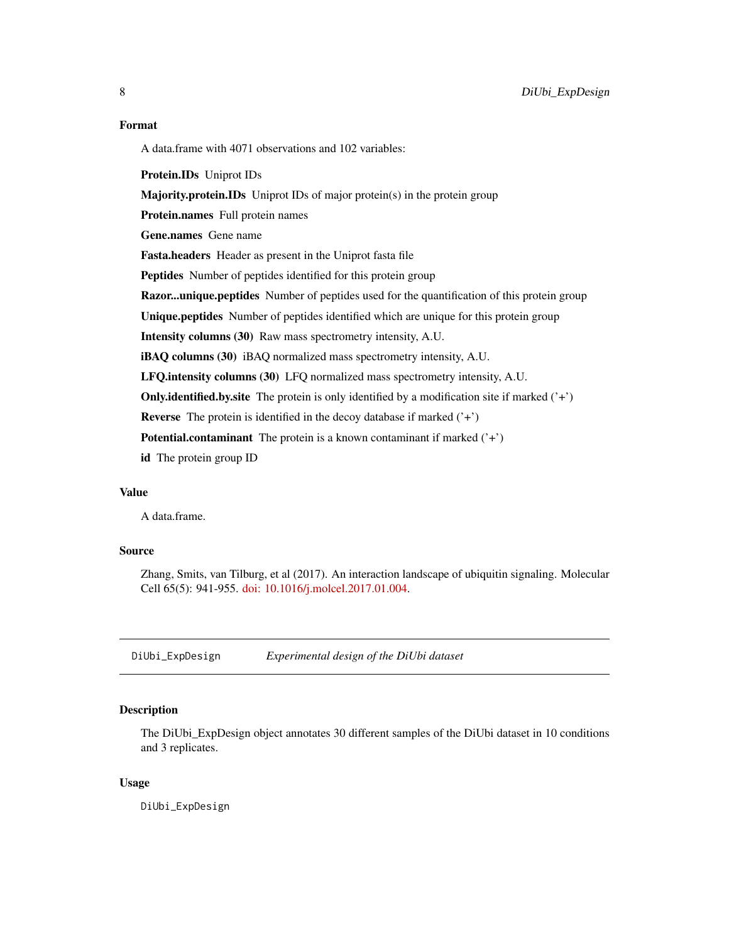# <span id="page-7-0"></span>Format

A data.frame with 4071 observations and 102 variables:

Protein.IDs Uniprot IDs

Majority.protein.IDs Uniprot IDs of major protein(s) in the protein group

Protein.names Full protein names

Gene.names Gene name

Fasta.headers Header as present in the Uniprot fasta file

Peptides Number of peptides identified for this protein group

Razor...unique.peptides Number of peptides used for the quantification of this protein group

Unique.peptides Number of peptides identified which are unique for this protein group

Intensity columns (30) Raw mass spectrometry intensity, A.U.

iBAQ columns (30) iBAQ normalized mass spectrometry intensity, A.U.

LFQ.intensity columns (30) LFQ normalized mass spectrometry intensity, A.U.

**Only.identified.by.site** The protein is only identified by a modification site if marked  $('+')$ 

**Reverse** The protein is identified in the decoy database if marked  $(4)$ 

**Potential.contaminant** The protein is a known contaminant if marked  $(4)$ 

id The protein group ID

# Value

A data.frame.

# Source

Zhang, Smits, van Tilburg, et al (2017). An interaction landscape of ubiquitin signaling. Molecular Cell 65(5): 941-955. [doi: 10.1016/j.molcel.2017.01.004.](http://www.cell.com/molecular-cell/fulltext/S1097-2765(17)30004-7)

<span id="page-7-1"></span>DiUbi\_ExpDesign *Experimental design of the DiUbi dataset*

# Description

The DiUbi\_ExpDesign object annotates 30 different samples of the DiUbi dataset in 10 conditions and 3 replicates.

#### Usage

DiUbi\_ExpDesign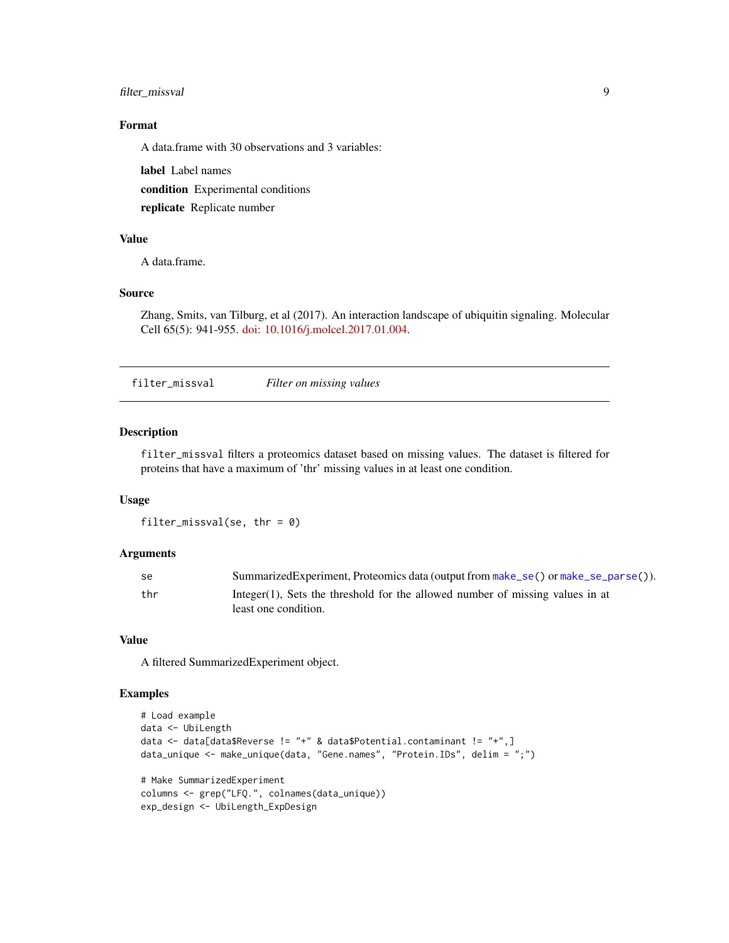# <span id="page-8-0"></span>filter\_missval 9

# Format

A data.frame with 30 observations and 3 variables:

label Label names

condition Experimental conditions

replicate Replicate number

#### Value

A data.frame.

# Source

Zhang, Smits, van Tilburg, et al (2017). An interaction landscape of ubiquitin signaling. Molecular Cell 65(5): 941-955. [doi: 10.1016/j.molcel.2017.01.004.](http://www.cell.com/molecular-cell/fulltext/S1097-2765(17)30004-7)

<span id="page-8-1"></span>filter\_missval *Filter on missing values*

# Description

filter\_missval filters a proteomics dataset based on missing values. The dataset is filtered for proteins that have a maximum of 'thr' missing values in at least one condition.

#### Usage

filter\_missval(se, thr =  $0$ )

#### **Arguments**

| -se | Summarized Experiment, Proteomics data (output from make_se() or make_se_parse()).                    |
|-----|-------------------------------------------------------------------------------------------------------|
| thr | Integer(1), Sets the threshold for the allowed number of missing values in at<br>least one condition. |

# Value

A filtered SummarizedExperiment object.

```
# Load example
data <- UbiLength
data <- data[data$Reverse != "+" & data$Potential.contaminant != "+",]
data_unique <- make_unique(data, "Gene.names", "Protein.IDs", delim = ";")
# Make SummarizedExperiment
columns <- grep("LFQ.", colnames(data_unique))
exp_design <- UbiLength_ExpDesign
```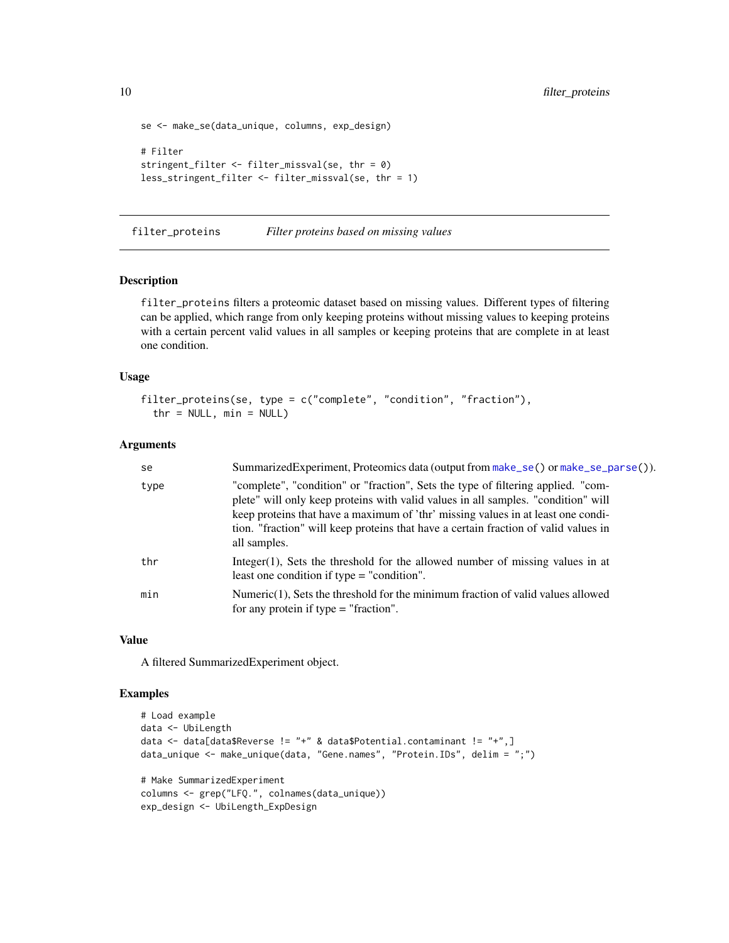```
se <- make_se(data_unique, columns, exp_design)
# Filter
stringent_filter <- filter_missval(se, thr = 0)
less_stringent_filter <- filter_missval(se, thr = 1)
```
<span id="page-9-1"></span>filter\_proteins *Filter proteins based on missing values*

#### Description

filter\_proteins filters a proteomic dataset based on missing values. Different types of filtering can be applied, which range from only keeping proteins without missing values to keeping proteins with a certain percent valid values in all samples or keeping proteins that are complete in at least one condition.

#### Usage

```
filter_proteins(se, type = c("complete", "condition", "fraction"),
  thr = NULL, min = NULL)
```
#### Arguments

| se   | SummarizedExperiment, Proteomics data (output from make_se() or make_se_parse()).                                                                                                                                                                                                                                                                                |
|------|------------------------------------------------------------------------------------------------------------------------------------------------------------------------------------------------------------------------------------------------------------------------------------------------------------------------------------------------------------------|
| type | "complete", "condition" or "fraction", Sets the type of filtering applied. "com-<br>plete" will only keep proteins with valid values in all samples. "condition" will<br>keep proteins that have a maximum of 'thr' missing values in at least one condi-<br>tion. "fraction" will keep proteins that have a certain fraction of valid values in<br>all samples. |
| thr  | Integer(1), Sets the threshold for the allowed number of missing values in at<br>least one condition if type $=$ "condition".                                                                                                                                                                                                                                    |
| min  | Numeric $(1)$ , Sets the threshold for the minimum fraction of valid values allowed<br>for any protein if type $=$ "fraction".                                                                                                                                                                                                                                   |

#### Value

A filtered SummarizedExperiment object.

```
# Load example
data <- UbiLength
data <- data[data$Reverse != "+" & data$Potential.contaminant != "+",]
data_unique <- make_unique(data, "Gene.names", "Protein.IDs", delim = ";")
# Make SummarizedExperiment
columns <- grep("LFQ.", colnames(data_unique))
exp_design <- UbiLength_ExpDesign
```
<span id="page-9-0"></span>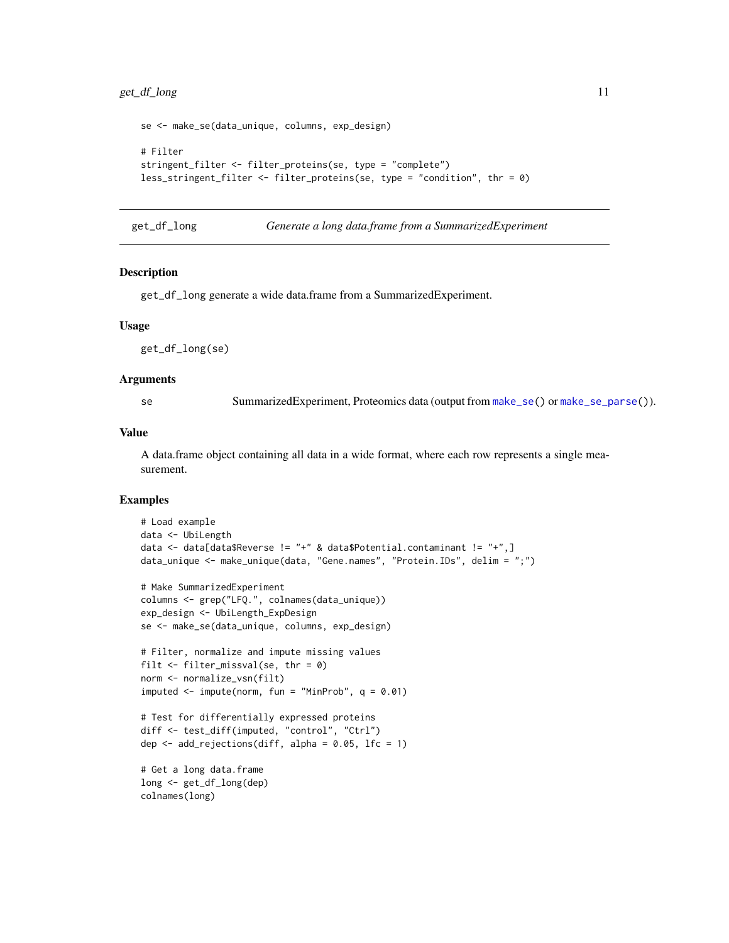```
se <- make_se(data_unique, columns, exp_design)
# Filter
stringent_filter <- filter_proteins(se, type = "complete")
less_stringent_filter <- filter_proteins(se, type = "condition", thr = 0)
```

```
get_df_long Generate a long data.frame from a SummarizedExperiment
```
get\_df\_long generate a wide data.frame from a SummarizedExperiment.

#### Usage

get\_df\_long(se)

#### Arguments

se SummarizedExperiment, Proteomics data (output from [make\\_se\(](#page-18-1)) or [make\\_se\\_parse\(](#page-19-1))).

#### Value

A data.frame object containing all data in a wide format, where each row represents a single measurement.

```
# Load example
data <- UbiLength
data <- data[data$Reverse != "+" & data$Potential.contaminant != "+",]
data_unique <- make_unique(data, "Gene.names", "Protein.IDs", delim = ";")
# Make SummarizedExperiment
columns <- grep("LFQ.", colnames(data_unique))
exp_design <- UbiLength_ExpDesign
se <- make_se(data_unique, columns, exp_design)
# Filter, normalize and impute missing values
filt \le filter_missval(se, thr = 0)
norm <- normalize_vsn(filt)
imputed \leq impute(norm, fun = "MinProb", q = 0.01)
# Test for differentially expressed proteins
diff <- test_diff(imputed, "control", "Ctrl")
dep \leq add_rejections(diff, alpha = 0.05, lfc = 1)
# Get a long data.frame
long <- get_df_long(dep)
colnames(long)
```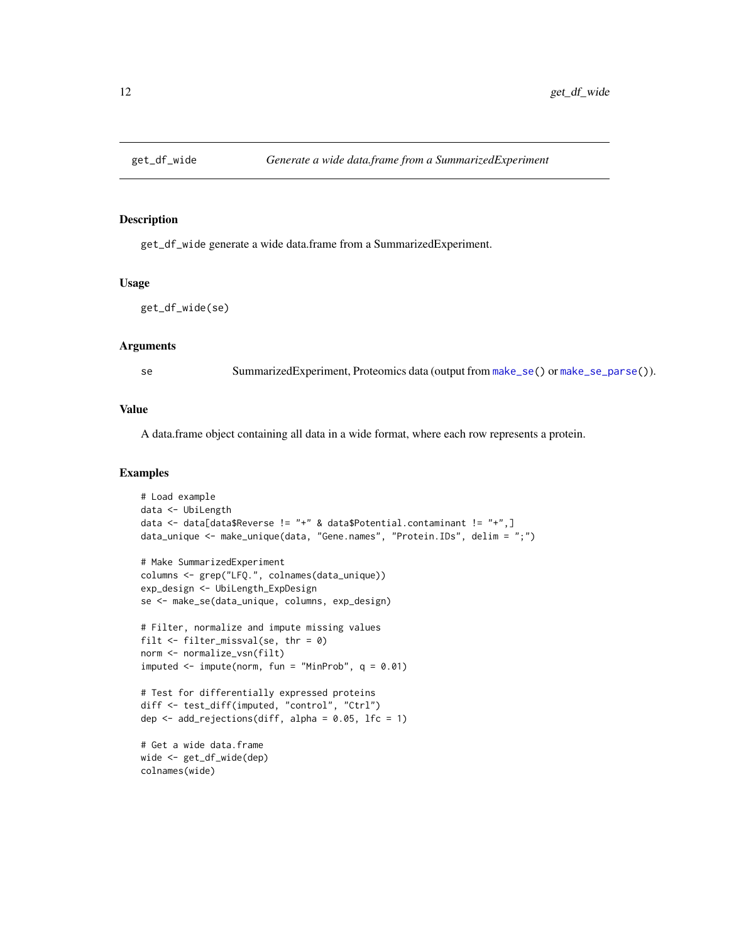<span id="page-11-1"></span><span id="page-11-0"></span>

get\_df\_wide generate a wide data.frame from a SummarizedExperiment.

#### Usage

get\_df\_wide(se)

# Arguments

se SummarizedExperiment, Proteomics data (output from [make\\_se\(](#page-18-1)) or [make\\_se\\_parse\(](#page-19-1))).

#### Value

A data.frame object containing all data in a wide format, where each row represents a protein.

```
# Load example
data <- UbiLength
data <- data[data$Reverse != "+" & data$Potential.contaminant != "+",]
data_unique <- make_unique(data, "Gene.names", "Protein.IDs", delim = ";")
# Make SummarizedExperiment
columns <- grep("LFQ.", colnames(data_unique))
exp_design <- UbiLength_ExpDesign
se <- make_se(data_unique, columns, exp_design)
# Filter, normalize and impute missing values
filt \le filter_missval(se, thr = 0)
norm <- normalize_vsn(filt)
imputed \leq impute(norm, fun = "MinProb", q = 0.01)
# Test for differentially expressed proteins
diff <- test_diff(imputed, "control", "Ctrl")
dep \le add_rejections(diff, alpha = 0.05, lfc = 1)
# Get a wide data.frame
wide <- get_df_wide(dep)
colnames(wide)
```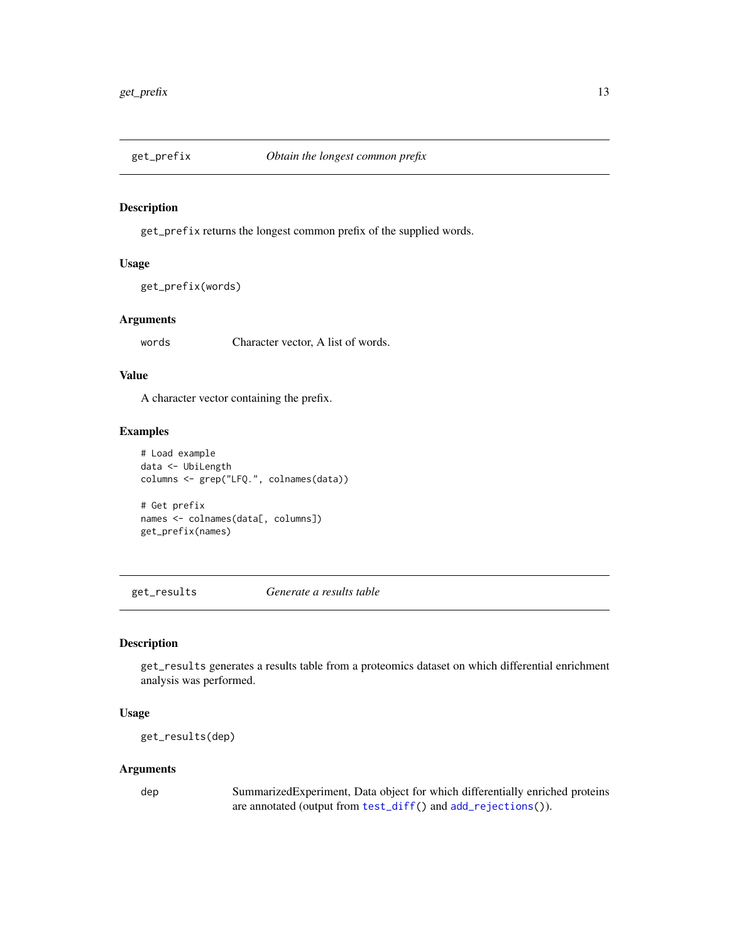<span id="page-12-2"></span><span id="page-12-0"></span>

get\_prefix returns the longest common prefix of the supplied words.

#### Usage

get\_prefix(words)

#### Arguments

words Character vector, A list of words.

# Value

A character vector containing the prefix.

# Examples

```
# Load example
data <- UbiLength
columns <- grep("LFQ.", colnames(data))
```
# Get prefix names <- colnames(data[, columns]) get\_prefix(names)

<span id="page-12-1"></span>get\_results *Generate a results table*

# Description

get\_results generates a results table from a proteomics dataset on which differential enrichment analysis was performed.

# Usage

```
get_results(dep)
```
#### Arguments

dep SummarizedExperiment, Data object for which differentially enriched proteins are annotated (output from [test\\_diff\(](#page-46-1)) and [add\\_rejections\(](#page-2-1))).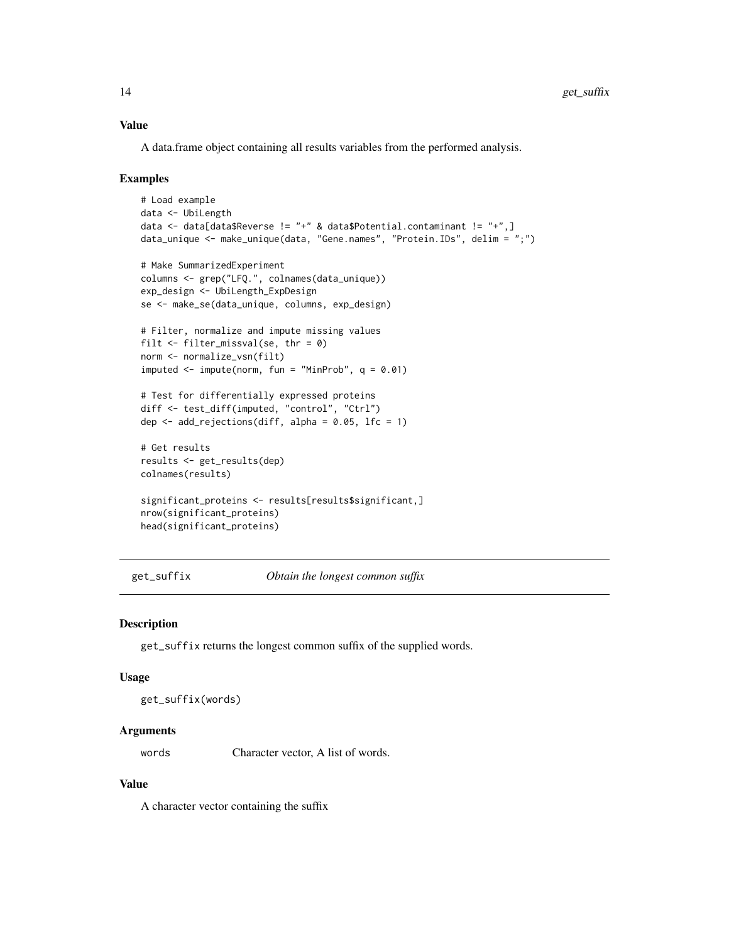# <span id="page-13-0"></span>Value

A data.frame object containing all results variables from the performed analysis.

#### Examples

```
# Load example
data <- UbiLength
data <- data[data$Reverse != "+" & data$Potential.contaminant != "+",]
data_unique <- make_unique(data, "Gene.names", "Protein.IDs", delim = ";")
# Make SummarizedExperiment
columns <- grep("LFQ.", colnames(data_unique))
exp_design <- UbiLength_ExpDesign
se <- make_se(data_unique, columns, exp_design)
# Filter, normalize and impute missing values
filt \le filter_missval(se, thr = 0)
norm <- normalize_vsn(filt)
imputed \leq impute(norm, fun = "MinProb", q = 0.01)
# Test for differentially expressed proteins
diff <- test_diff(imputed, "control", "Ctrl")
dep <- add_rejections(diff, alpha = 0.05, lfc = 1)
# Get results
results <- get_results(dep)
colnames(results)
significant_proteins <- results[results$significant,]
nrow(significant_proteins)
head(significant_proteins)
```
<span id="page-13-1"></span>get\_suffix *Obtain the longest common suffix*

#### Description

get\_suffix returns the longest common suffix of the supplied words.

#### Usage

get\_suffix(words)

# Arguments

words Character vector, A list of words.

#### Value

A character vector containing the suffix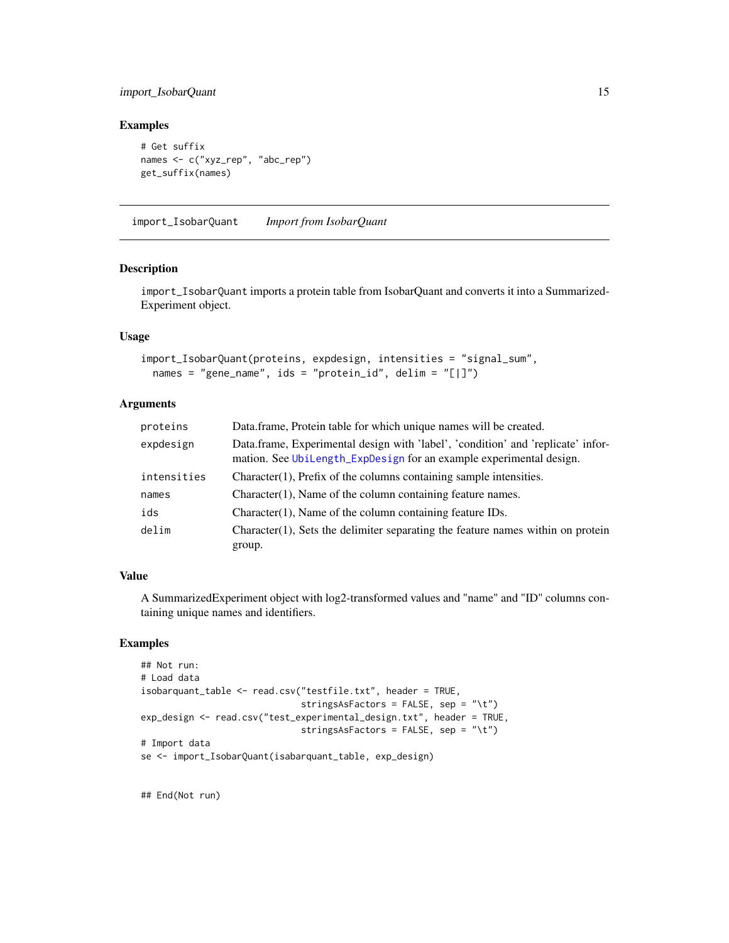# <span id="page-14-0"></span>import\_IsobarQuant 15

# Examples

```
# Get suffix
names <- c("xyz_rep", "abc_rep")
get_suffix(names)
```
<span id="page-14-1"></span>import\_IsobarQuant *Import from IsobarQuant*

# Description

import\_IsobarQuant imports a protein table from IsobarQuant and converts it into a Summarized-Experiment object.

#### Usage

```
import_IsobarQuant(proteins, expdesign, intensities = "signal_sum",
 names = "gene_name", ids = "protein_id", delim = "[|]")
```
#### Arguments

| proteins    | Data.frame, Protein table for which unique names will be created.                                                                                       |
|-------------|---------------------------------------------------------------------------------------------------------------------------------------------------------|
| expdesign   | Data.frame, Experimental design with 'label', 'condition' and 'replicate' infor-<br>mation. See UbiLength_ExpDesign for an example experimental design. |
| intensities | $Character(1)$ , Prefix of the columns containing sample intensities.                                                                                   |
| names       | $Character(1)$ , Name of the column containing feature names.                                                                                           |
| ids         | $Character(1)$ , Name of the column containing feature IDs.                                                                                             |
| delim       | Character $(1)$ , Sets the delimiter separating the feature names within on protein<br>group.                                                           |

# Value

A SummarizedExperiment object with log2-transformed values and "name" and "ID" columns containing unique names and identifiers.

#### Examples

```
## Not run:
# Load data
isobarquant_table <- read.csv("testfile.txt", header = TRUE,
                              stringsAsFactors = FALSE, sep = "\t")
exp_design <- read.csv("test_experimental_design.txt", header = TRUE,
                              stringsAsFactors = FALSE, sep = "\t")
# Import data
se <- import_IsobarQuant(isabarquant_table, exp_design)
```
## End(Not run)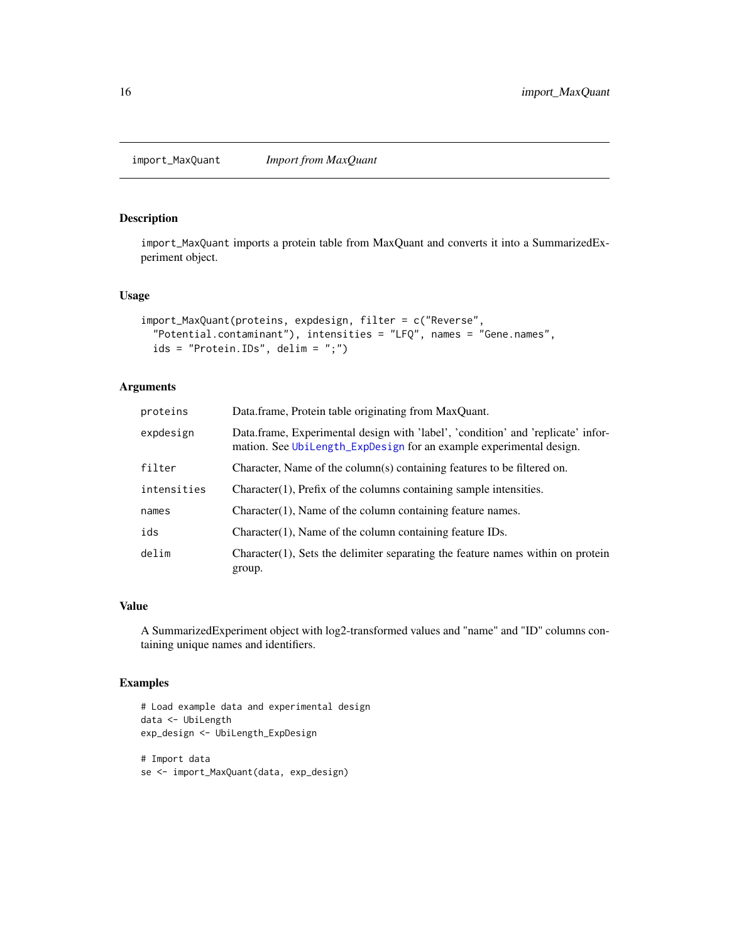<span id="page-15-1"></span><span id="page-15-0"></span>import\_MaxQuant *Import from MaxQuant*

# Description

import\_MaxQuant imports a protein table from MaxQuant and converts it into a SummarizedExperiment object.

# Usage

```
import_MaxQuant(proteins, expdesign, filter = c("Reverse",
  "Potential.contaminant"), intensities = "LFQ", names = "Gene.names",
 ids = "Protein.IDs", delim = ";")
```
# Arguments

| proteins    | Data.frame, Protein table originating from MaxQuant.                                                                                                    |
|-------------|---------------------------------------------------------------------------------------------------------------------------------------------------------|
| expdesign   | Data.frame, Experimental design with 'label', 'condition' and 'replicate' infor-<br>mation. See UbiLength_ExpDesign for an example experimental design. |
| filter      | Character, Name of the column(s) containing features to be filtered on.                                                                                 |
| intensities | $Character(1)$ , Prefix of the columns containing sample intensities.                                                                                   |
| names       | $Character(1)$ , Name of the column containing feature names.                                                                                           |
| ids         | $Character(1)$ , Name of the column containing feature IDs.                                                                                             |
| delim       | Character(1), Sets the delimiter separating the feature names within on protein<br>group.                                                               |

#### Value

A SummarizedExperiment object with log2-transformed values and "name" and "ID" columns containing unique names and identifiers.

```
# Load example data and experimental design
data <- UbiLength
exp_design <- UbiLength_ExpDesign
# Import data
se <- import_MaxQuant(data, exp_design)
```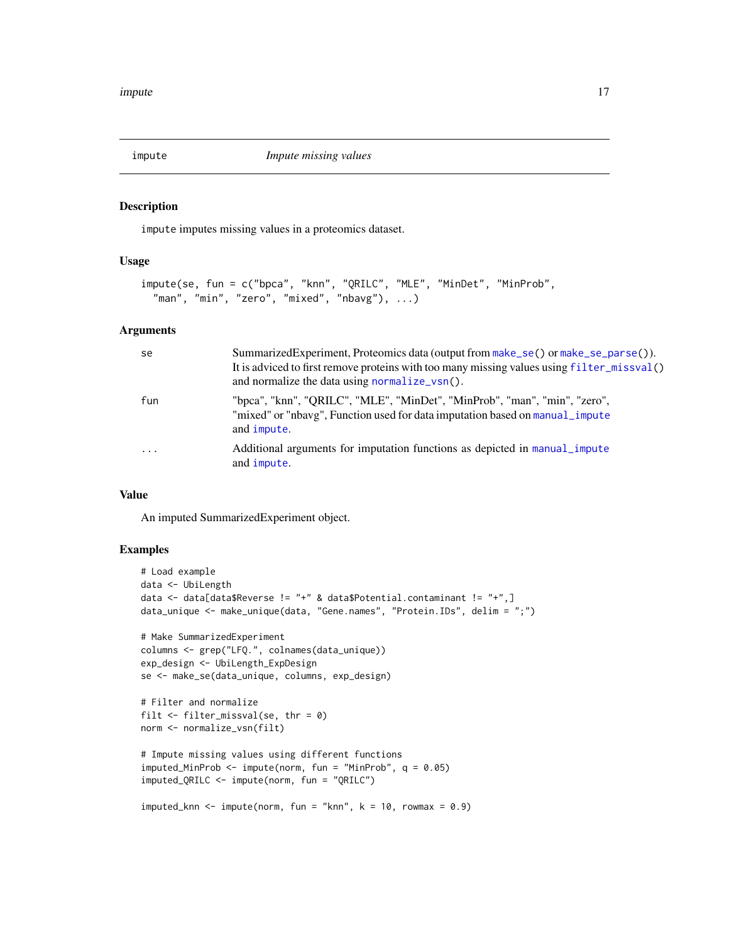<span id="page-16-1"></span><span id="page-16-0"></span>

impute imputes missing values in a proteomics dataset.

# Usage

```
impute(se, fun = c("bpca", "knn", "QRILC", "MLE", "MinDet", "MinProb",
  "man", "min", "zero", "mixed", "nbavg"), ...)
```
#### Arguments

| se                | SummarizedExperiment, Proteomics data (output from make_se() or make_se_parse()).<br>It is adviced to first remove proteins with too many missing values using filter_missval()<br>and normalize the data using normalize_vsn(). |
|-------------------|----------------------------------------------------------------------------------------------------------------------------------------------------------------------------------------------------------------------------------|
| fun               | "bpca", "knn", "QRILC", "MLE", "MinDet", "MinProb", "man", "min", "zero",<br>"mixed" or "nbavg", Function used for data imputation based on manual_impute<br>and impute.                                                         |
| $\cdot\cdot\cdot$ | Additional arguments for imputation functions as depicted in manual impute<br>and <i>impute</i> .                                                                                                                                |

#### Value

An imputed SummarizedExperiment object.

```
# Load example
data <- UbiLength
data <- data[data$Reverse != "+" & data$Potential.contaminant != "+",]
data_unique <- make_unique(data, "Gene.names", "Protein.IDs", delim = ";")
# Make SummarizedExperiment
columns <- grep("LFQ.", colnames(data_unique))
exp_design <- UbiLength_ExpDesign
se <- make_se(data_unique, columns, exp_design)
# Filter and normalize
filt \le filter_missval(se, thr = 0)
norm <- normalize_vsn(filt)
# Impute missing values using different functions
imputed_MinProb <- impute(norm, fun = "MinProb", q = 0.05)
imputed_QRILC <- impute(norm, fun = "QRILC")
imputed_knn \leq impute(norm, fun = "knn", k = 10, rowmax = 0.9)
```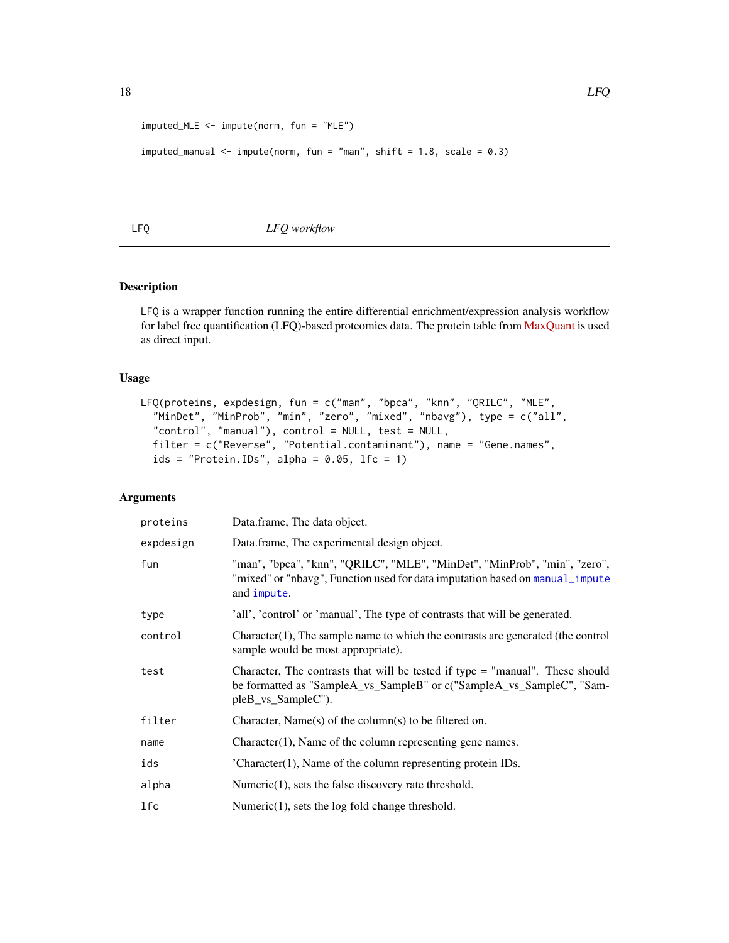```
imputed_MLE <- impute(norm, fun = "MLE")
```

```
imputed_manual <- impute(norm, fun = "man", shift = 1.8, scale = 0.3)
```
<span id="page-17-1"></span>LFQ *LFQ workflow*

# Description

LFQ is a wrapper function running the entire differential enrichment/expression analysis workflow for label free quantification (LFQ)-based proteomics data. The protein table from [MaxQuant](http://www.nature.com/nbt/journal/v26/n12/full/nbt.1511.html) is used as direct input.

#### Usage

```
LFQ(proteins, expdesign, fun = c("man", "bpca", "knn", "QRILC", "MLE",
  "MinDet", "MinProb", "min", "zero", "mixed", "nbavg"), type = c("all",
  "control", "manual"), control = NULL, test = NULL,
 filter = c("Reverse", "Potential.contaminant"), name = "Gene.names",
  ids = "Protein. IDs", alpha = 0.05, lfc = 1)
```
# Arguments

| proteins  | Data.frame, The data object.                                                                                                                                                 |
|-----------|------------------------------------------------------------------------------------------------------------------------------------------------------------------------------|
| expdesign | Data.frame, The experimental design object.                                                                                                                                  |
| fun       | "man", "bpca", "knn", "QRILC", "MLE", "MinDet", "MinProb", "min", "zero",<br>"mixed" or "nbavg", Function used for data imputation based on manual_impute<br>and impute.     |
| type      | 'all', 'control' or 'manual', The type of contrasts that will be generated.                                                                                                  |
| control   | $Character(1)$ , The sample name to which the contrasts are generated (the control<br>sample would be most appropriate).                                                     |
| test      | Character, The contrasts that will be tested if type = "manual". These should<br>be formatted as "SampleA_vs_SampleB" or c("SampleA_vs_SampleC", "Sam-<br>pleB_vs_SampleC"). |
| filter    | Character, Name $(s)$ of the column $(s)$ to be filtered on.                                                                                                                 |
| name      | $Character(1)$ , Name of the column representing gene names.                                                                                                                 |
| ids       | $'Character(1)$ , Name of the column representing protein IDs.                                                                                                               |
| alpha     | Numeric $(1)$ , sets the false discovery rate threshold.                                                                                                                     |
| 1fc       | Numeric $(1)$ , sets the log fold change threshold.                                                                                                                          |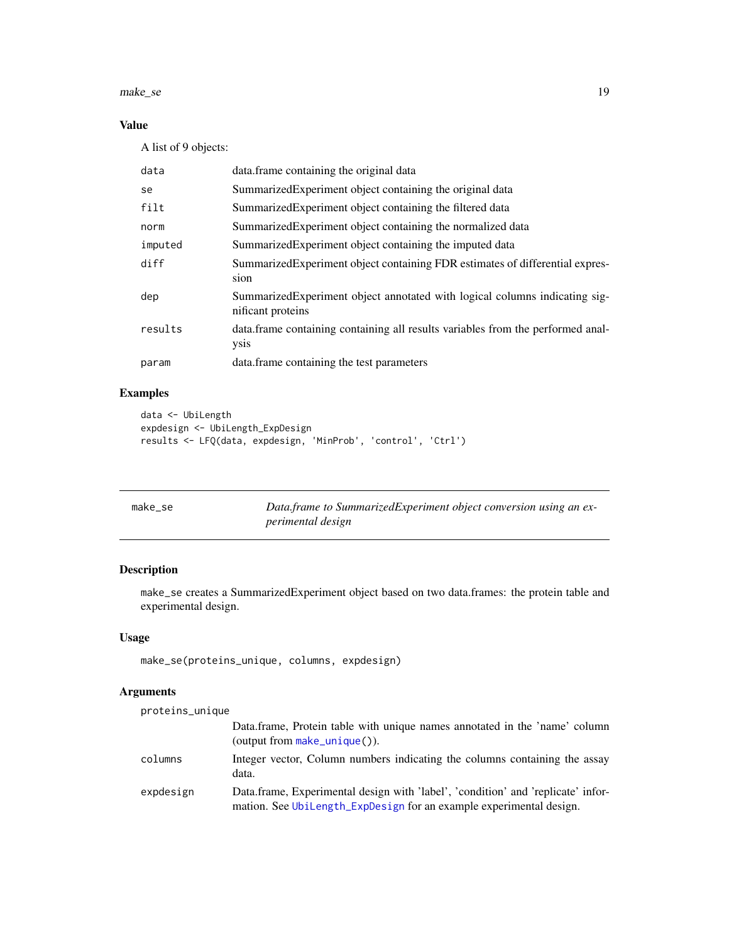#### <span id="page-18-0"></span>make\_se 19

# Value

A list of 9 objects:

| data    | data.frame containing the original data                                                          |
|---------|--------------------------------------------------------------------------------------------------|
| se      | Summarized Experiment object containing the original data                                        |
| filt    | Summarized Experiment object containing the filtered data                                        |
| norm    | Summarized Experiment object containing the normalized data                                      |
| imputed | Summarized Experiment object containing the imputed data                                         |
| diff    | Summarized Experiment object containing FDR estimates of differential expres-<br>sion            |
| dep     | Summarized Experiment object annotated with logical columns indicating sig-<br>nificant proteins |
| results | data. frame containing containing all results variables from the performed anal-<br>ysis         |
| param   | data. frame containing the test parameters                                                       |

# Examples

```
data <- UbiLength
expdesign <- UbiLength_ExpDesign
results <- LFQ(data, expdesign, 'MinProb', 'control', 'Ctrl')
```
<span id="page-18-1"></span>

| make se | Data.frame to SummarizedExperiment object conversion using an ex- |
|---------|-------------------------------------------------------------------|
|         | perimental design                                                 |

# Description

make\_se creates a SummarizedExperiment object based on two data.frames: the protein table and experimental design.

# Usage

```
make_se(proteins_unique, columns, expdesign)
```
# Arguments

| proteins_unique |                                                                                                                                                         |
|-----------------|---------------------------------------------------------------------------------------------------------------------------------------------------------|
|                 | Data.frame, Protein table with unique names annotated in the 'name' column<br>$(output from make\_unique()).$                                           |
| columns         | Integer vector, Column numbers indicating the columns containing the assay<br>data.                                                                     |
| expdesign       | Data.frame, Experimental design with 'label', 'condition' and 'replicate' infor-<br>mation. See UbiLength_ExpDesign for an example experimental design. |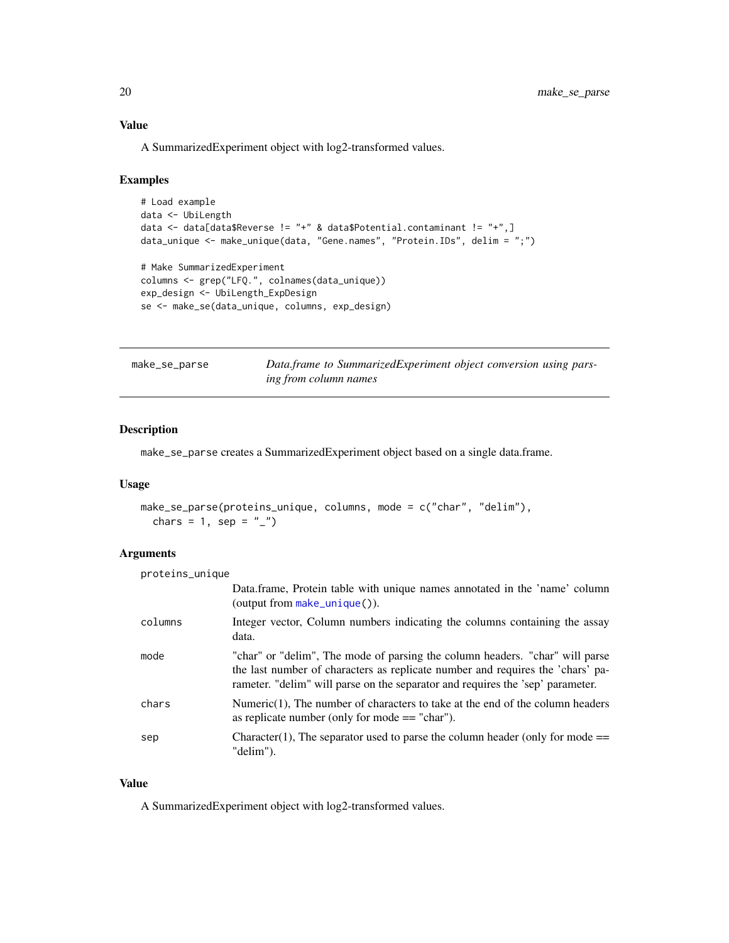<span id="page-19-0"></span>A SummarizedExperiment object with log2-transformed values.

#### Examples

```
# Load example
data <- UbiLength
data <- data[data$Reverse != "+" & data$Potential.contaminant != "+",]
data_unique <- make_unique(data, "Gene.names", "Protein.IDs", delim = ";")
# Make SummarizedExperiment
columns <- grep("LFQ.", colnames(data_unique))
exp_design <- UbiLength_ExpDesign
se <- make_se(data_unique, columns, exp_design)
```
<span id="page-19-1"></span>

| make_se_parse | Data frame to SummarizedExperiment object conversion using pars- |  |  |
|---------------|------------------------------------------------------------------|--|--|
|               | ing from column names                                            |  |  |

#### Description

make\_se\_parse creates a SummarizedExperiment object based on a single data.frame.

# Usage

```
make_se_parse(proteins_unique, columns, mode = c("char", "delim"),
  chars = 1, sep = "_")
```
# Arguments

proteins\_unique

|         | Data.frame, Protein table with unique names annotated in the 'name' column<br>(output from make_unique()).                                                                                                                                       |
|---------|--------------------------------------------------------------------------------------------------------------------------------------------------------------------------------------------------------------------------------------------------|
| columns | Integer vector, Column numbers indicating the columns containing the assay<br>data.                                                                                                                                                              |
| mode    | "char" or "delim", The mode of parsing the column headers. "char" will parse<br>the last number of characters as replicate number and requires the 'chars' pa-<br>rameter. "delim" will parse on the separator and requires the 'sep' parameter. |
| chars   | Numeric $(1)$ , The number of characters to take at the end of the column headers<br>as replicate number (only for mode $==$ "char").                                                                                                            |
| sep     | Character(1), The separator used to parse the column header (only for mode $==$<br>"delim").                                                                                                                                                     |

# Value

A SummarizedExperiment object with log2-transformed values.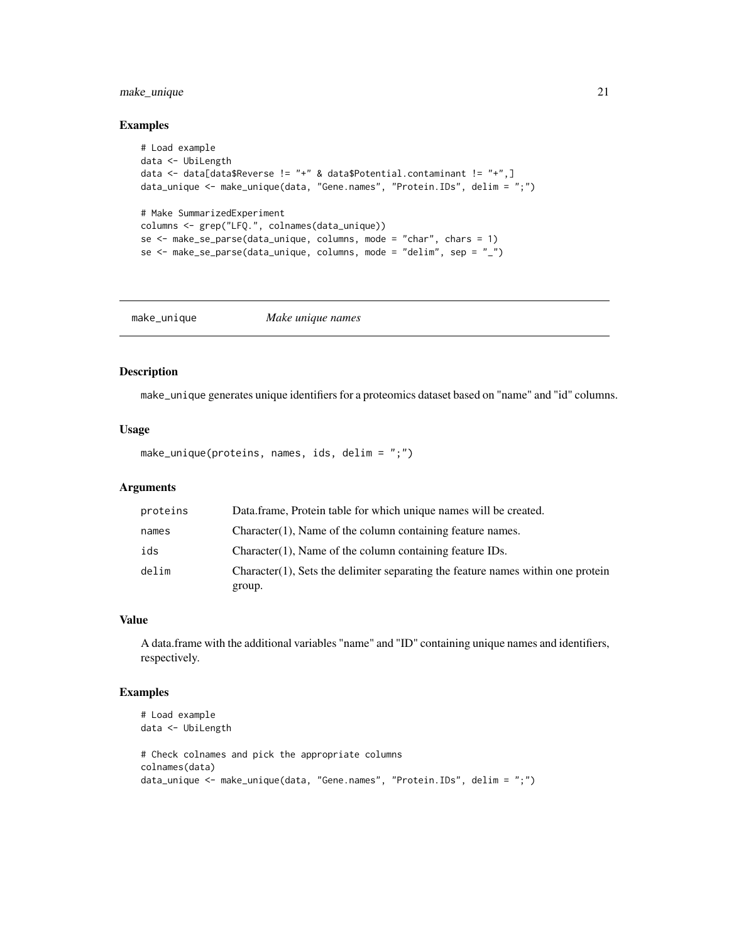# <span id="page-20-0"></span>make\_unique 21

# Examples

```
# Load example
data <- UbiLength
data <- data[data$Reverse != "+" & data$Potential.contaminant != "+",]
data_unique <- make_unique(data, "Gene.names", "Protein.IDs", delim = ";")
# Make SummarizedExperiment
columns <- grep("LFQ.", colnames(data_unique))
se \leq make_se_parse(data_unique, columns, mode = "char", chars = 1)
se <- make_se_parse(data_unique, columns, mode = "delim", sep = "_")
```
<span id="page-20-1"></span>make\_unique *Make unique names*

# Description

make\_unique generates unique identifiers for a proteomics dataset based on "name" and "id" columns.

# Usage

make\_unique(proteins, names, ids, delim = ";")

#### **Arguments**

| proteins | Data frame, Protein table for which unique names will be created.                             |
|----------|-----------------------------------------------------------------------------------------------|
| names    | $Character(1)$ , Name of the column containing feature names.                                 |
| ids      | $Character(1)$ , Name of the column containing feature IDs.                                   |
| delim    | $Character(1)$ , Sets the delimiter separating the feature names within one protein<br>group. |

#### Value

A data.frame with the additional variables "name" and "ID" containing unique names and identifiers, respectively.

```
# Load example
data <- UbiLength
# Check colnames and pick the appropriate columns
colnames(data)
data_unique <- make_unique(data, "Gene.names", "Protein.IDs", delim = ";")
```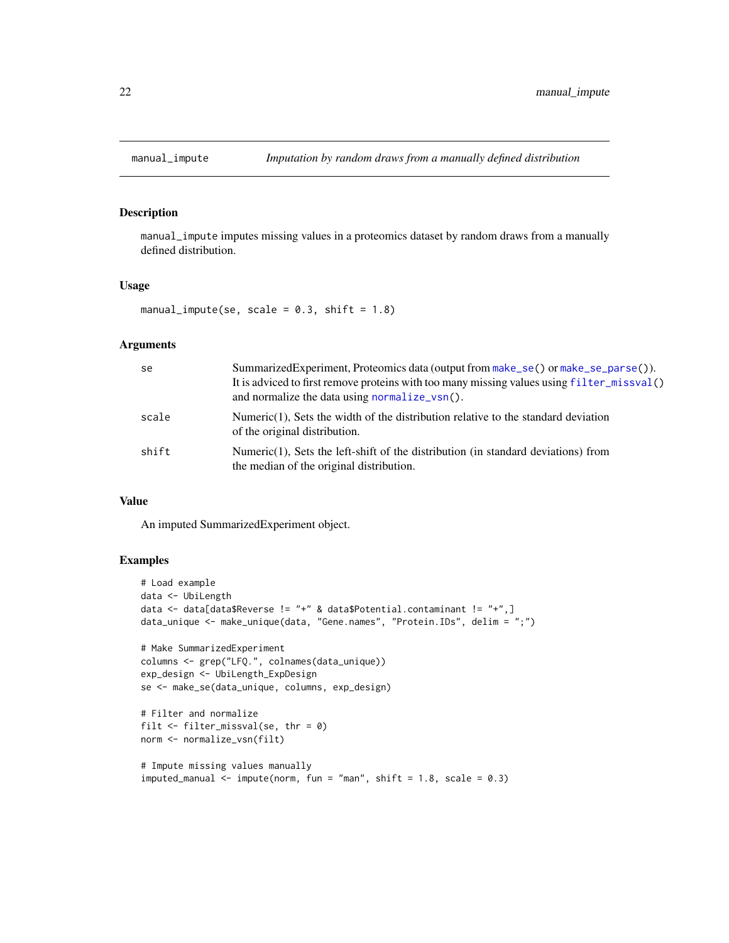<span id="page-21-1"></span><span id="page-21-0"></span>

manual\_impute imputes missing values in a proteomics dataset by random draws from a manually defined distribution.

#### Usage

manual\_impute(se, scale =  $0.3$ , shift =  $1.8$ )

#### **Arguments**

| se    | SummarizedExperiment, Proteomics data (output from make_se() or make_se_parse()).<br>It is adviced to first remove proteins with too many missing values using filter_missval()<br>and normalize the data using normalize_vsn(). |
|-------|----------------------------------------------------------------------------------------------------------------------------------------------------------------------------------------------------------------------------------|
| scale | Numeric(1), Sets the width of the distribution relative to the standard deviation<br>of the original distribution.                                                                                                               |
| shift | Numeric(1), Sets the left-shift of the distribution (in standard deviations) from<br>the median of the original distribution.                                                                                                    |

# Value

An imputed SummarizedExperiment object.

```
# Load example
data <- UbiLength
data <- data[data$Reverse != "+" & data$Potential.contaminant != "+",]
data_unique <- make_unique(data, "Gene.names", "Protein.IDs", delim = ";")
# Make SummarizedExperiment
columns <- grep("LFQ.", colnames(data_unique))
exp_design <- UbiLength_ExpDesign
se <- make_se(data_unique, columns, exp_design)
# Filter and normalize
filt \le filter_missval(se, thr = 0)
norm <- normalize_vsn(filt)
# Impute missing values manually
imputed\_manual < - impute(norm, fun = "man", shift = 1.8, scale = 0.3)
```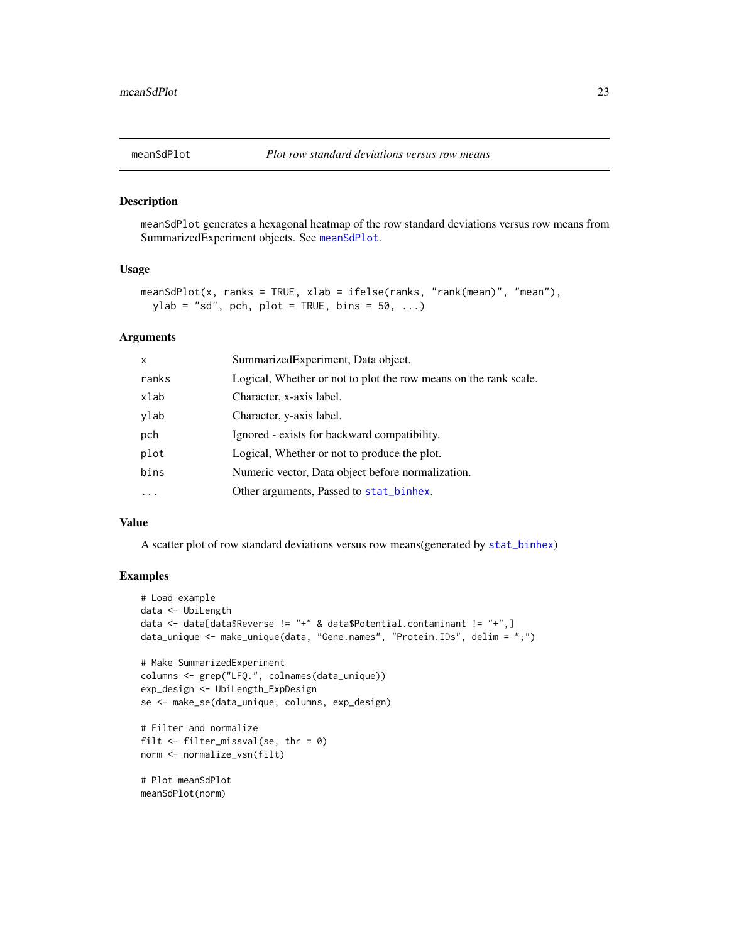<span id="page-22-1"></span><span id="page-22-0"></span>meanSdPlot generates a hexagonal heatmap of the row standard deviations versus row means from SummarizedExperiment objects. See [meanSdPlot](#page-22-1).

#### Usage

```
meanSdPlot(x, ranks = TRUE, xlab = ifelse(ranks, "rank(mean)", "mean"),
 ylab = "sd", pch, plot = TRUE, bins = 50, ...)
```
# Arguments

| $\mathsf{x}$ | SummarizedExperiment, Data object.                               |
|--------------|------------------------------------------------------------------|
| ranks        | Logical, Whether or not to plot the row means on the rank scale. |
| xlab         | Character, x-axis label.                                         |
| ylab         | Character, y-axis label.                                         |
| pch          | Ignored - exists for backward compatibility.                     |
| plot         | Logical, Whether or not to produce the plot.                     |
| bins         | Numeric vector, Data object before normalization.                |
|              | Other arguments, Passed to stat_binhex.                          |

#### Value

A scatter plot of row standard deviations versus row means(generated by [stat\\_binhex](#page-0-0))

```
# Load example
data <- UbiLength
data <- data[data$Reverse != "+" & data$Potential.contaminant != "+",]
data_unique <- make_unique(data, "Gene.names", "Protein.IDs", delim = ";")
# Make SummarizedExperiment
columns <- grep("LFQ.", colnames(data_unique))
exp_design <- UbiLength_ExpDesign
se <- make_se(data_unique, columns, exp_design)
# Filter and normalize
filt \le filter_missval(se, thr = 0)
norm <- normalize_vsn(filt)
# Plot meanSdPlot
meanSdPlot(norm)
```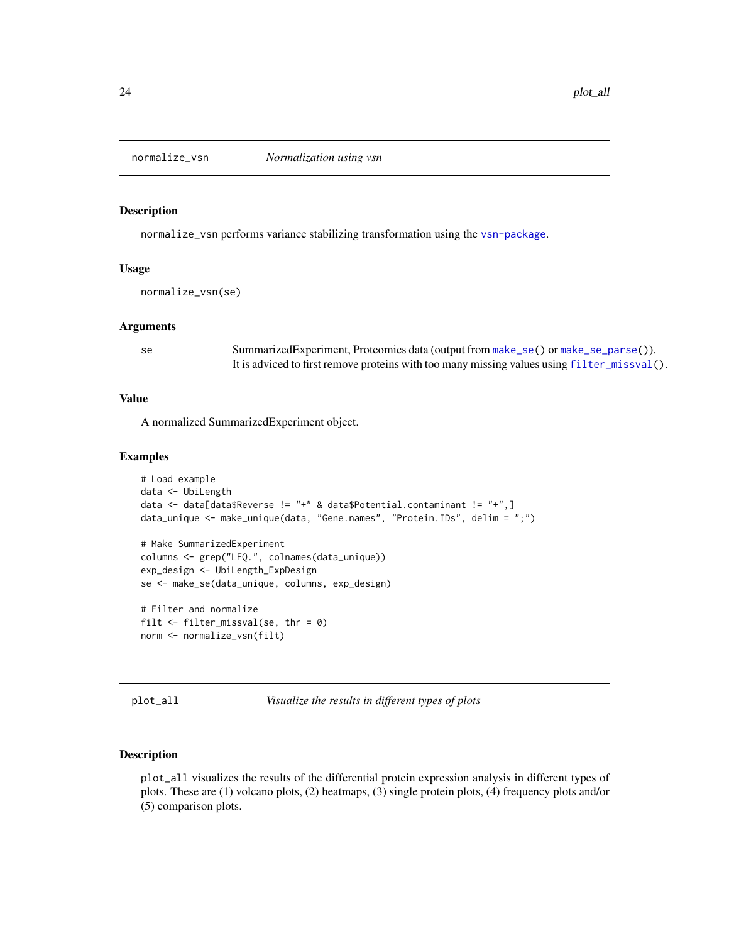<span id="page-23-2"></span><span id="page-23-0"></span>

normalize\_vsn performs variance stabilizing transformation using the [vsn-package](#page-0-0).

#### Usage

```
normalize_vsn(se)
```
#### Arguments

se SummarizedExperiment, Proteomics data (output from [make\\_se\(](#page-18-1)) or [make\\_se\\_parse\(](#page-19-1))). It is adviced to first remove proteins with too many missing values using [filter\\_missval\(](#page-8-1)).

#### Value

A normalized SummarizedExperiment object.

#### Examples

```
# Load example
data <- UbiLength
data <- data[data$Reverse != "+" & data$Potential.contaminant != "+",]
data_unique <- make_unique(data, "Gene.names", "Protein.IDs", delim = ";")
# Make SummarizedExperiment
columns <- grep("LFQ.", colnames(data_unique))
exp_design <- UbiLength_ExpDesign
se <- make_se(data_unique, columns, exp_design)
# Filter and normalize
```

```
filt \le filter_missval(se, thr = 0)
norm <- normalize_vsn(filt)
```

```
plot_all Visualize the results in different types of plots
```
#### Description

plot\_all visualizes the results of the differential protein expression analysis in different types of plots. These are (1) volcano plots, (2) heatmaps, (3) single protein plots, (4) frequency plots and/or (5) comparison plots.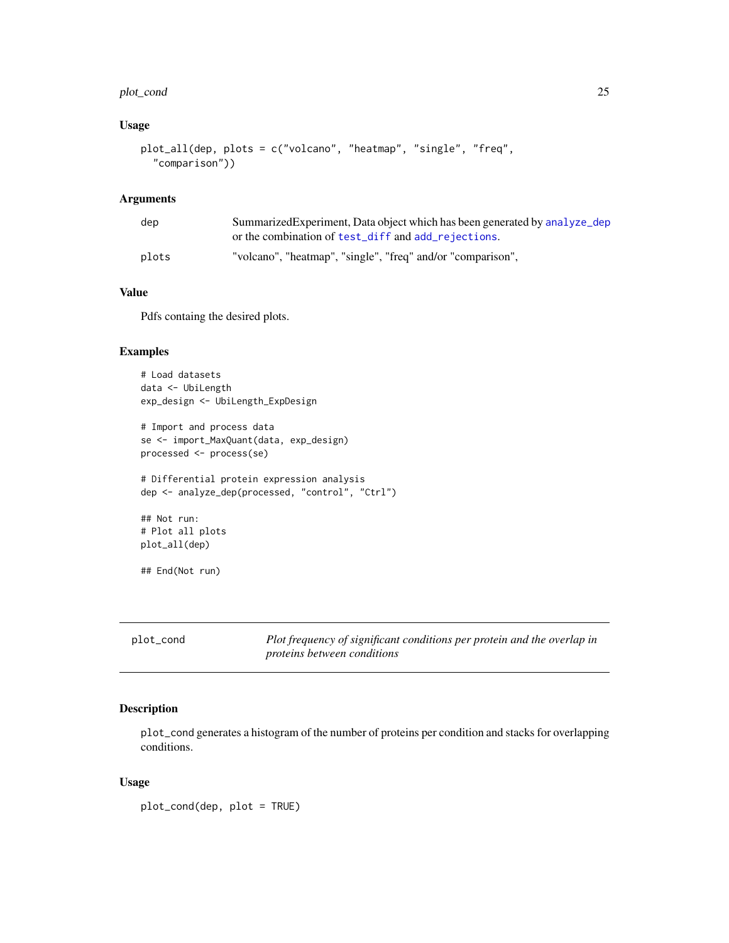#### <span id="page-24-0"></span>plot\_cond 25

# Usage

```
plot_all(dep, plots = c("volcano", "heatmap", "single", "freq",
  "comparison"))
```
# Arguments

| dep   | Summarized Experiment, Data object which has been generated by analyze_dep<br>or the combination of test_diff and add_rejections. |
|-------|-----------------------------------------------------------------------------------------------------------------------------------|
| plots | "volcano", "heatmap", "single", "freq" and/or "comparison",                                                                       |

# Value

Pdfs containg the desired plots.

#### Examples

```
# Load datasets
data <- UbiLength
exp_design <- UbiLength_ExpDesign
# Import and process data
se <- import_MaxQuant(data, exp_design)
processed <- process(se)
# Differential protein expression analysis
dep <- analyze_dep(processed, "control", "Ctrl")
## Not run:
# Plot all plots
plot_all(dep)
## End(Not run)
```
<span id="page-24-1"></span>

| plot_cond | Plot frequency of significant conditions per protein and the overlap in |
|-----------|-------------------------------------------------------------------------|
|           | <i>proteins between conditions</i>                                      |

# Description

plot\_cond generates a histogram of the number of proteins per condition and stacks for overlapping conditions.

# Usage

plot\_cond(dep, plot = TRUE)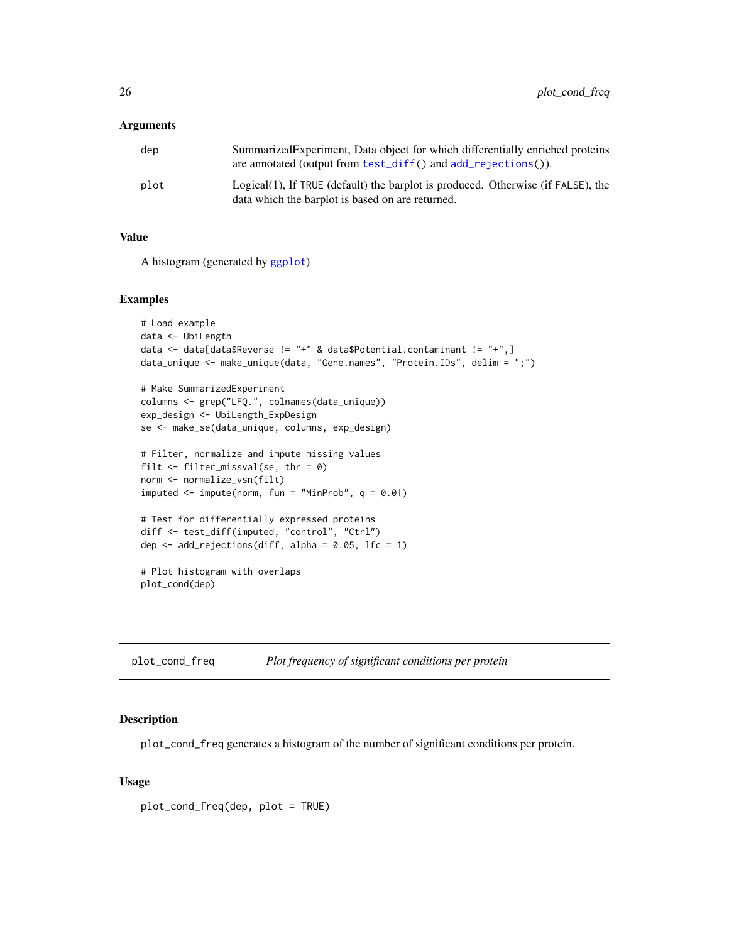<span id="page-25-0"></span>

| dep  | Summarized Experiment, Data object for which differentially enriched proteins<br>are annotated (output from test_diff() and $add\_rejections()$ . |
|------|---------------------------------------------------------------------------------------------------------------------------------------------------|
| plot | Logical(1), If TRUE (default) the barplot is produced. Otherwise (if FALSE), the<br>data which the barplot is based on are returned.              |

# Value

A histogram (generated by [ggplot](#page-0-0))

#### Examples

```
# Load example
data <- UbiLength
data \leq data[data$Reverse != "+" & data$Potential.contaminant != "+",]
data_unique <- make_unique(data, "Gene.names", "Protein.IDs", delim = ";")
```

```
# Make SummarizedExperiment
columns <- grep("LFQ.", colnames(data_unique))
exp_design <- UbiLength_ExpDesign
se <- make_se(data_unique, columns, exp_design)
```

```
# Filter, normalize and impute missing values
filt <- filter_missval(se, thr = 0)
norm <- normalize_vsn(filt)
imputed \leq impute(norm, fun = "MinProb", q = 0.01)
```

```
# Test for differentially expressed proteins
diff <- test_diff(imputed, "control", "Ctrl")
dep \leq add_rejections(diff, alpha = 0.05, lfc = 1)
```

```
# Plot histogram with overlaps
plot_cond(dep)
```
<span id="page-25-1"></span>plot\_cond\_freq *Plot frequency of significant conditions per protein*

### Description

plot\_cond\_freq generates a histogram of the number of significant conditions per protein.

#### Usage

plot\_cond\_freq(dep, plot = TRUE)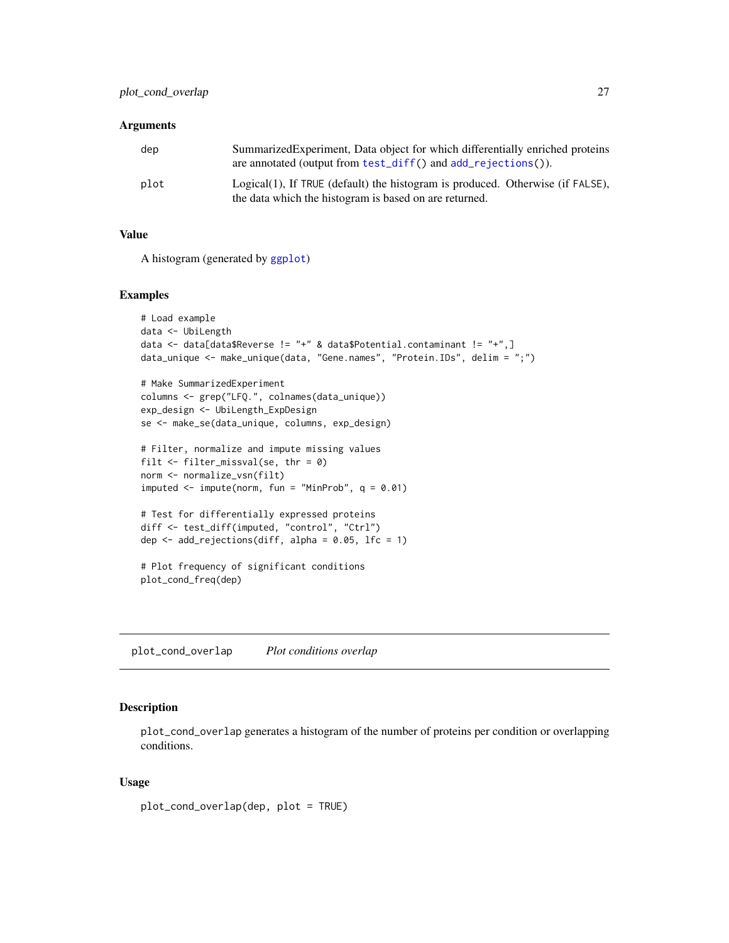<span id="page-26-0"></span>

| dep  | Summarized Experiment, Data object for which differentially enriched proteins<br>are annotated (output from test_diff() and $add\_rejections()$ . |
|------|---------------------------------------------------------------------------------------------------------------------------------------------------|
| plot | Logical(1), If TRUE (default) the histogram is produced. Otherwise (if FALSE),<br>the data which the histogram is based on are returned.          |

# Value

A histogram (generated by [ggplot](#page-0-0))

# Examples

```
# Load example
data <- UbiLength
data <- data[data$Reverse != "+" & data$Potential.contaminant != "+",]
data_unique <- make_unique(data, "Gene.names", "Protein.IDs", delim = ";")
# Make SummarizedExperiment
columns <- grep("LFQ.", colnames(data_unique))
exp_design <- UbiLength_ExpDesign
se <- make_se(data_unique, columns, exp_design)
# Filter, normalize and impute missing values
```

```
filt \le filter_missval(se, thr = 0)
norm <- normalize_vsn(filt)
imputed \leq impute(norm, fun = "MinProb", q = 0.01)
```

```
# Test for differentially expressed proteins
diff <- test_diff(imputed, "control", "Ctrl")
dep \leq add_rejections(diff, alpha = 0.05, lfc = 1)
```

```
# Plot frequency of significant conditions
plot_cond_freq(dep)
```
<span id="page-26-1"></span>plot\_cond\_overlap *Plot conditions overlap*

# Description

plot\_cond\_overlap generates a histogram of the number of proteins per condition or overlapping conditions.

#### Usage

plot\_cond\_overlap(dep, plot = TRUE)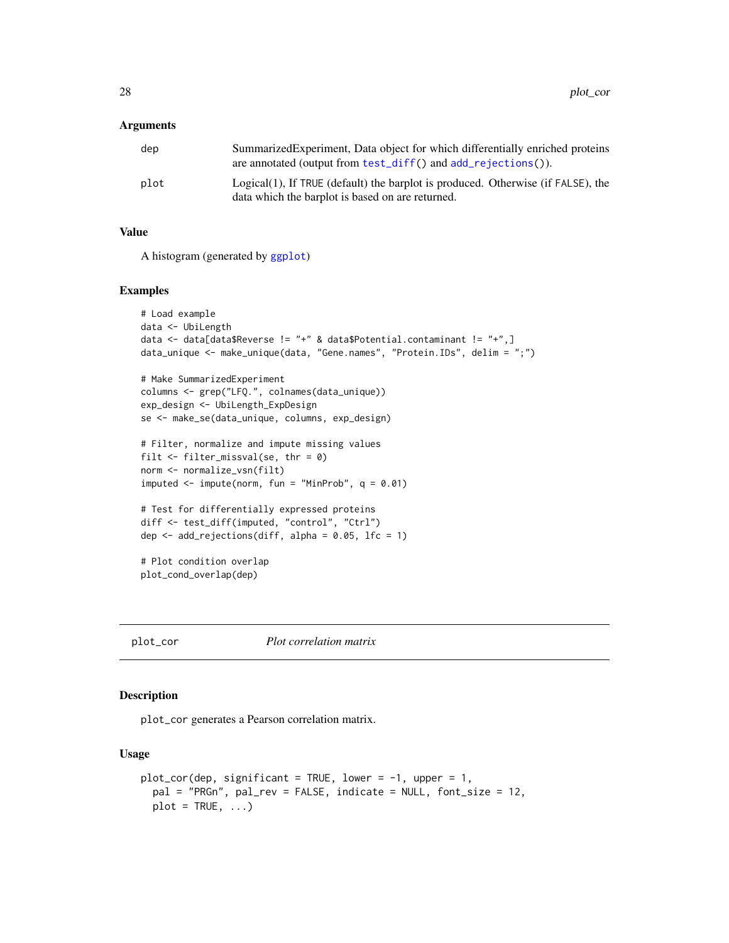<span id="page-27-0"></span>

| dep  | Summarized Experiment, Data object for which differentially enriched proteins<br>are annotated (output from test_diff() and $add\_rejections()$ . |
|------|---------------------------------------------------------------------------------------------------------------------------------------------------|
| plot | $Logical(1)$ , If TRUE (default) the barplot is produced. Otherwise (if FALSE), the<br>data which the barplot is based on are returned.           |

#### Value

A histogram (generated by [ggplot](#page-0-0))

#### Examples

```
# Load example
data <- UbiLength
data <- data[data$Reverse != "+" & data$Potential.contaminant != "+",]
data_unique <- make_unique(data, "Gene.names", "Protein.IDs", delim = ";")
# Make SummarizedExperiment
columns <- grep("LFQ.", colnames(data_unique))
exp_design <- UbiLength_ExpDesign
se <- make_se(data_unique, columns, exp_design)
# Filter, normalize and impute missing values
filt \le filter_missval(se, thr = 0)
norm <- normalize_vsn(filt)
imputed \leq impute(norm, fun = "MinProb", q = 0.01)
# Test for differentially expressed proteins
diff <- test_diff(imputed, "control", "Ctrl")
dep \le add_rejections(diff, alpha = 0.05, lfc = 1)
# Plot condition overlap
plot_cond_overlap(dep)
```
<span id="page-27-1"></span>plot\_cor *Plot correlation matrix*

# Description

plot\_cor generates a Pearson correlation matrix.

#### Usage

```
plot_cor(dep, significant = TRUE, lower = -1, upper = 1,
 pal = "PRGn", pal_rev = FALSE, indicate = NULL, font_size = 12,
 plot = TRUE, ...)
```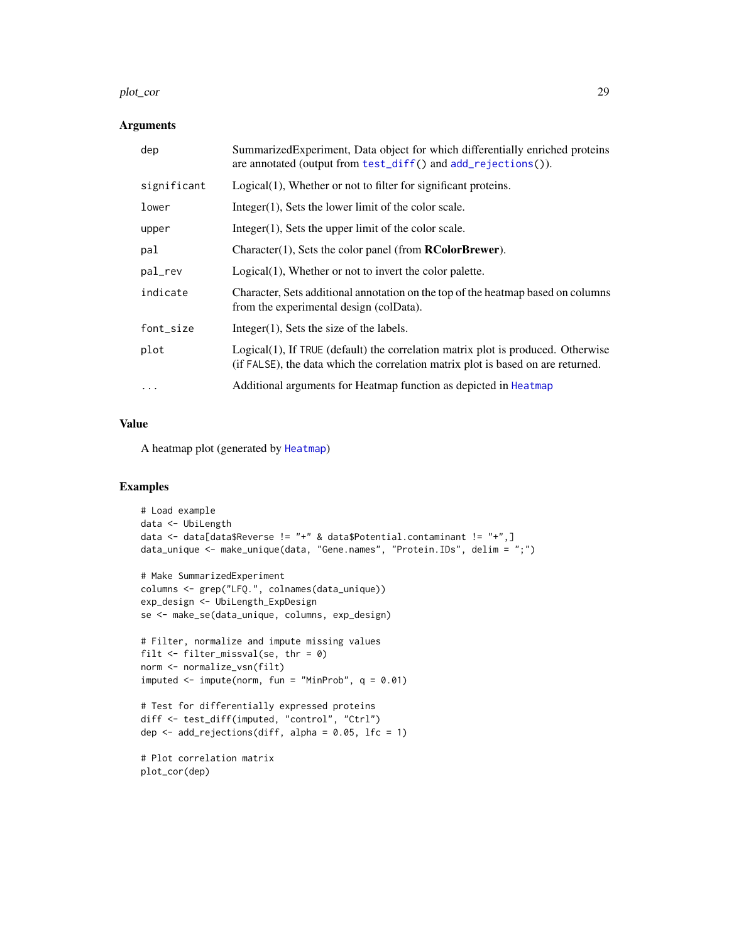#### <span id="page-28-0"></span>plot\_cor 29

#### Arguments

| dep         | Summarized Experiment, Data object for which differentially enriched proteins<br>are annotated (output from test_diff() and add_rejections()).                       |
|-------------|----------------------------------------------------------------------------------------------------------------------------------------------------------------------|
| significant | Logical(1), Whether or not to filter for significant proteins.                                                                                                       |
| lower       | $Integer(1)$ , Sets the lower limit of the color scale.                                                                                                              |
| upper       | $Integer(1)$ , Sets the upper limit of the color scale.                                                                                                              |
| pal         | Character $(1)$ , Sets the color panel (from <b>RColorBrewer</b> ).                                                                                                  |
| pal_rev     | Logical(1), Whether or not to invert the color palette.                                                                                                              |
| indicate    | Character, Sets additional annotation on the top of the heatmap based on columns<br>from the experimental design (colData).                                          |
| font_size   | Integer $(1)$ , Sets the size of the labels.                                                                                                                         |
| plot        | Logical(1), If TRUE (default) the correlation matrix plot is produced. Otherwise<br>(if FALSE), the data which the correlation matrix plot is based on are returned. |
| $\cdots$    | Additional arguments for Heatmap function as depicted in Heatmap                                                                                                     |

#### Value

A heatmap plot (generated by [Heatmap](#page-0-0))

# Examples

plot\_cor(dep)

```
# Load example
data <- UbiLength
data <- data[data$Reverse != "+" & data$Potential.contaminant != "+",]
data_unique <- make_unique(data, "Gene.names", "Protein.IDs", delim = ";")
# Make SummarizedExperiment
columns <- grep("LFQ.", colnames(data_unique))
exp_design <- UbiLength_ExpDesign
se <- make_se(data_unique, columns, exp_design)
# Filter, normalize and impute missing values
filt <- filter_missval(se, thr = 0)
norm <- normalize_vsn(filt)
imputed \leq impute(norm, fun = "MinProb", q = 0.01)
# Test for differentially expressed proteins
diff <- test_diff(imputed, "control", "Ctrl")
dep \leq add_rejections(diff, alpha = 0.05, lfc = 1)
# Plot correlation matrix
```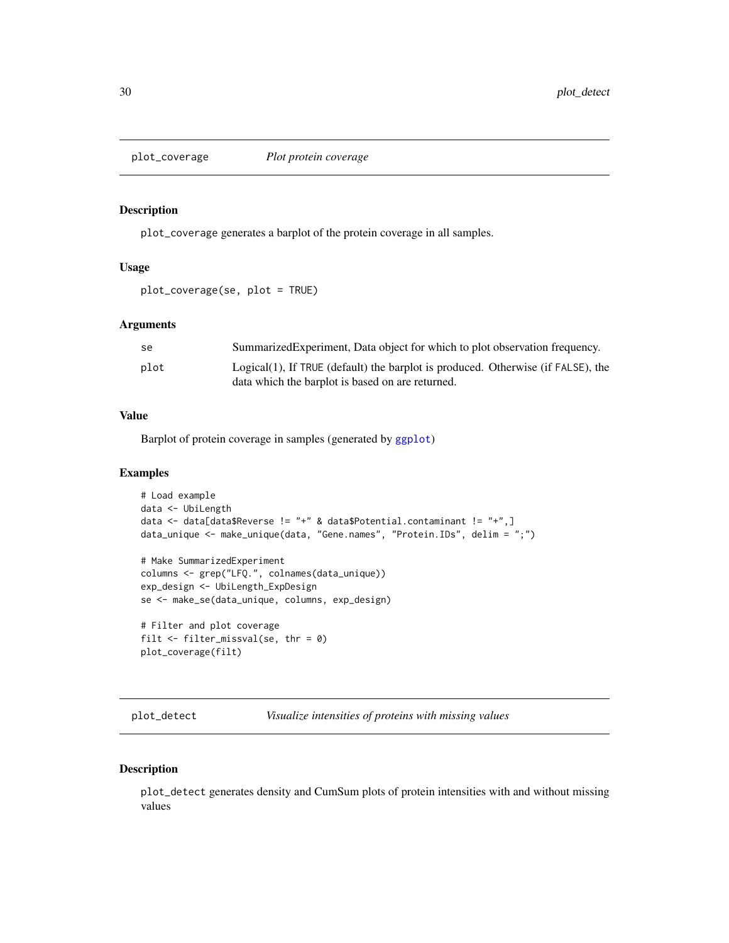<span id="page-29-2"></span><span id="page-29-0"></span>

plot\_coverage generates a barplot of the protein coverage in all samples.

# Usage

```
plot_coverage(se, plot = TRUE)
```
#### Arguments

| -se  | Summarized Experiment, Data object for which to plot observation frequency.                                                             |
|------|-----------------------------------------------------------------------------------------------------------------------------------------|
| plot | $Logical(1)$ , If TRUE (default) the barplot is produced. Otherwise (if FALSE), the<br>data which the barplot is based on are returned. |

# Value

Barplot of protein coverage in samples (generated by [ggplot](#page-0-0))

# Examples

```
# Load example
data <- UbiLength
data <- data[data$Reverse != "+" & data$Potential.contaminant != "+",]
data_unique <- make_unique(data, "Gene.names", "Protein.IDs", delim = ";")
# Make SummarizedExperiment
columns <- grep("LFQ.", colnames(data_unique))
exp_design <- UbiLength_ExpDesign
se <- make_se(data_unique, columns, exp_design)
# Filter and plot coverage
filt \le filter_missval(se, thr = 0)
plot_coverage(filt)
```
<span id="page-29-1"></span>plot\_detect *Visualize intensities of proteins with missing values*

# Description

plot\_detect generates density and CumSum plots of protein intensities with and without missing values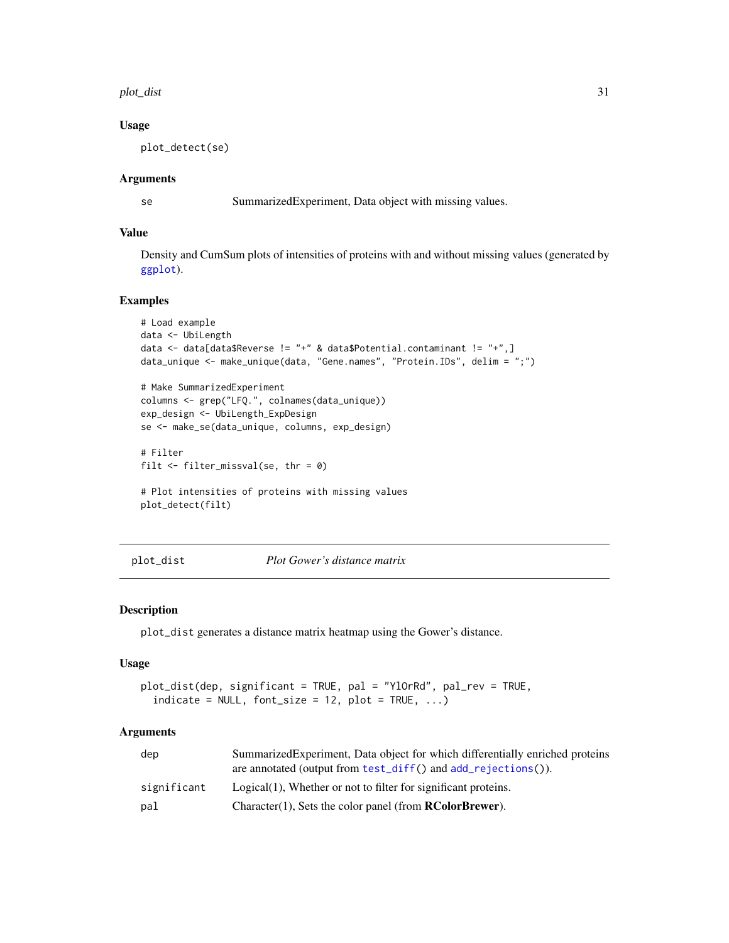#### <span id="page-30-0"></span>plot\_dist 31

#### Usage

plot\_detect(se)

# Arguments

se SummarizedExperiment, Data object with missing values.

## Value

Density and CumSum plots of intensities of proteins with and without missing values (generated by [ggplot](#page-0-0)).

# Examples

```
# Load example
data <- UbiLength
data <- data[data$Reverse != "+" & data$Potential.contaminant != "+",]
data_unique <- make_unique(data, "Gene.names", "Protein.IDs", delim = ";")
# Make SummarizedExperiment
```

```
columns <- grep("LFQ.", colnames(data_unique))
exp_design <- UbiLength_ExpDesign
se <- make_se(data_unique, columns, exp_design)
```

```
# Filter
filt \le filter_missval(se, thr = 0)
```

```
# Plot intensities of proteins with missing values
plot_detect(filt)
```

```
plot_dist Plot Gower's distance matrix
```
# Description

plot\_dist generates a distance matrix heatmap using the Gower's distance.

# Usage

```
plot_dist(dep, significant = TRUE, pal = "YlOrRd", pal_rev = TRUE,
  indicate = NULL, font_size = 12, plot = TRUE, ...)
```
#### Arguments

| dep         | SummarizedExperiment, Data object for which differentially enriched proteins |
|-------------|------------------------------------------------------------------------------|
|             | are annotated (output from test_diff() and add_rejections()).                |
| significant | Logical(1), Whether or not to filter for significant proteins.               |
| pal         | $Character(1)$ , Sets the color panel (from $RColorBrewer$ ).                |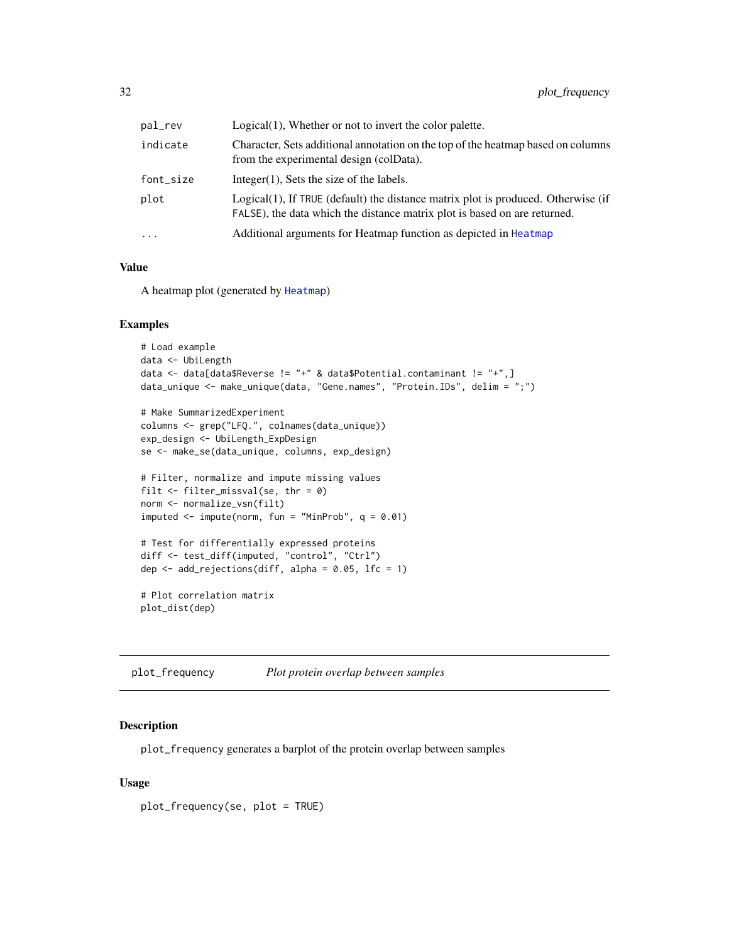<span id="page-31-0"></span>

| pal_rev   | Logical(1), Whether or not to invert the color palette.                                                                                                        |
|-----------|----------------------------------------------------------------------------------------------------------------------------------------------------------------|
| indicate  | Character, Sets additional annotation on the top of the heatmap based on columns<br>from the experimental design (colData).                                    |
| font_size | $Integer(1)$ , Sets the size of the labels.                                                                                                                    |
| plot      | Logical(1), If TRUE (default) the distance matrix plot is produced. Otherwise (if<br>FALSE), the data which the distance matrix plot is based on are returned. |
| $\cdots$  | Additional arguments for Heatmap function as depicted in Heatmap                                                                                               |
|           |                                                                                                                                                                |

# Value

A heatmap plot (generated by [Heatmap](#page-0-0))

#### Examples

```
# Load example
data <- UbiLength
data <- data[data$Reverse != "+" & data$Potential.contaminant != "+",]
data_unique <- make_unique(data, "Gene.names", "Protein.IDs", delim = ";")
# Make SummarizedExperiment
columns <- grep("LFQ.", colnames(data_unique))
exp_design <- UbiLength_ExpDesign
se <- make_se(data_unique, columns, exp_design)
# Filter, normalize and impute missing values
filt <- filter_missval(se, thr = 0)
norm <- normalize_vsn(filt)
imputed < - impute(norm, fun = "MinProb", q = 0.01)# Test for differentially expressed proteins
diff <- test_diff(imputed, "control", "Ctrl")
dep \leq add_rejections(diff, alpha = 0.05, lfc = 1)
# Plot correlation matrix
plot_dist(dep)
```
<span id="page-31-1"></span>plot\_frequency *Plot protein overlap between samples*

# Description

plot\_frequency generates a barplot of the protein overlap between samples

#### Usage

plot\_frequency(se, plot = TRUE)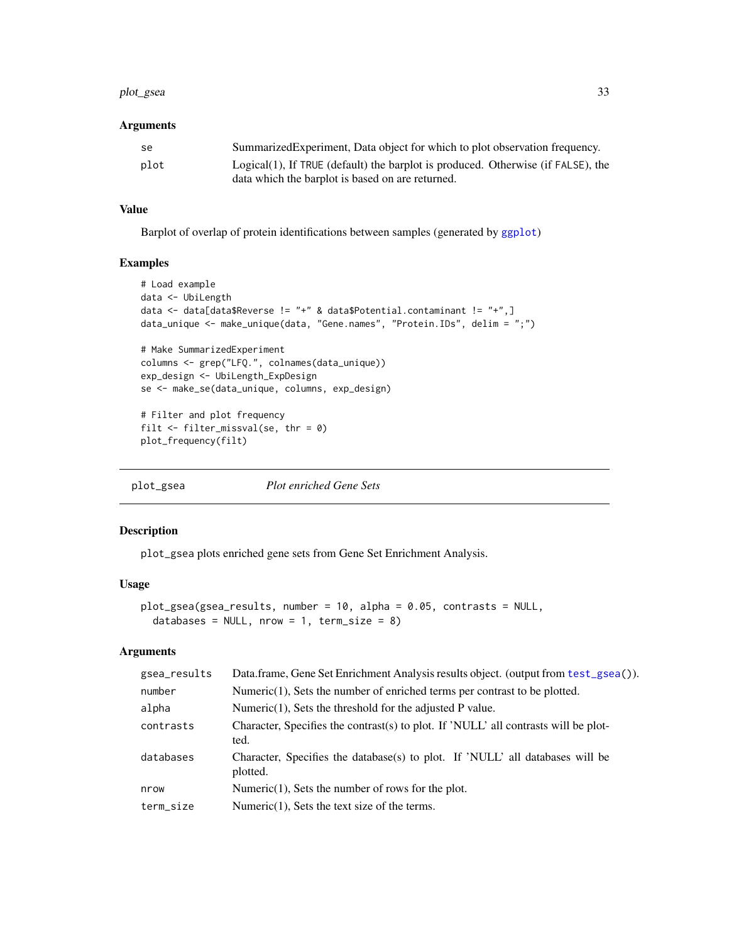#### <span id="page-32-0"></span>plot\_gsea 33

# Arguments

| -se  | Summarized Experiment, Data object for which to plot observation frequency.         |
|------|-------------------------------------------------------------------------------------|
| plot | $Logical(1)$ , If TRUE (default) the barplot is produced. Otherwise (if FALSE), the |
|      | data which the barplot is based on are returned.                                    |

# Value

Barplot of overlap of protein identifications between samples (generated by [ggplot](#page-0-0))

# Examples

```
# Load example
data <- UbiLength
data <- data[data$Reverse != "+" & data$Potential.contaminant != "+",]
data_unique <- make_unique(data, "Gene.names", "Protein.IDs", delim = ";")
# Make SummarizedExperiment
columns <- grep("LFQ.", colnames(data_unique))
exp_design <- UbiLength_ExpDesign
se <- make_se(data_unique, columns, exp_design)
# Filter and plot frequency
filt \le filter_missval(se, thr = 0)
plot_frequency(filt)
```
<span id="page-32-1"></span>plot\_gsea *Plot enriched Gene Sets*

# Description

plot\_gsea plots enriched gene sets from Gene Set Enrichment Analysis.

# Usage

```
plot_gsea(gsea_results, number = 10, alpha = 0.05, contrasts = NULL,
  databases = NULL, nrow = 1, term_size = 8)
```
# Arguments

| gsea_results | Data.frame, Gene Set Enrichment Analysis results object. (output from test_gsea()).         |
|--------------|---------------------------------------------------------------------------------------------|
| number       | Numeric $(1)$ , Sets the number of enriched terms per contrast to be plotted.               |
| alpha        | Numeric $(1)$ , Sets the threshold for the adjusted P value.                                |
| contrasts    | Character, Specifies the contrast(s) to plot. If 'NULL' all contrasts will be plot-<br>ted. |
| databases    | Character, Specifies the database(s) to plot. If 'NULL' all databases will be<br>plotted.   |
| nrow         | Numeric $(1)$ , Sets the number of rows for the plot.                                       |
| term_size    | Numeric $(1)$ , Sets the text size of the terms.                                            |
|              |                                                                                             |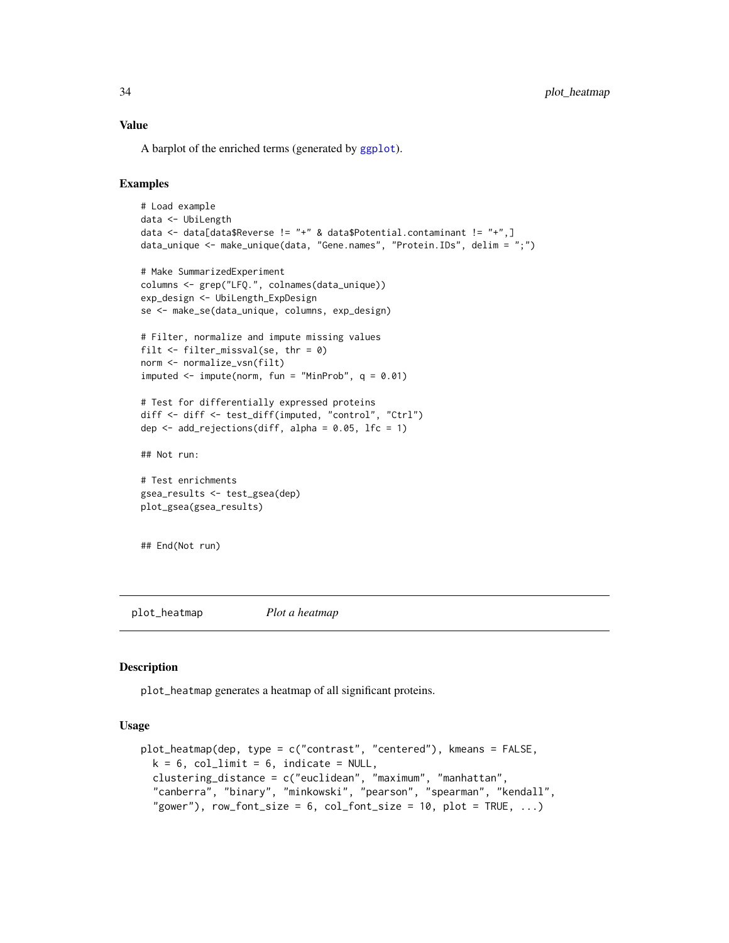#### <span id="page-33-0"></span>Value

A barplot of the enriched terms (generated by [ggplot](#page-0-0)).

#### Examples

```
# Load example
data <- UbiLength
data <- data[data$Reverse != "+" & data$Potential.contaminant != "+",]
data_unique <- make_unique(data, "Gene.names", "Protein.IDs", delim = ";")
# Make SummarizedExperiment
columns <- grep("LFQ.", colnames(data_unique))
exp_design <- UbiLength_ExpDesign
se <- make_se(data_unique, columns, exp_design)
# Filter, normalize and impute missing values
filt <- filter_missval(se, thr = 0)
norm <- normalize_vsn(filt)
imputed \le impute(norm, fun = "MinProb", q = 0.01)
# Test for differentially expressed proteins
diff <- diff <- test_diff(imputed, "control", "Ctrl")
dep \leq add_rejections(diff, alpha = 0.05, lfc = 1)
## Not run:
# Test enrichments
gsea_results <- test_gsea(dep)
plot_gsea(gsea_results)
```
## End(Not run)

<span id="page-33-1"></span>plot\_heatmap *Plot a heatmap*

#### Description

plot\_heatmap generates a heatmap of all significant proteins.

#### Usage

```
plot_heatmap(dep, type = c("contrast", "centered"), kmeans = FALSE,
  k = 6, col_limit = 6, indicate = NULL,
  clustering_distance = c("euclidean", "maximum", "manhattan",
  "canberra", "binary", "minkowski", "pearson", "spearman", "kendall",
  "gower"), row_font_size = 6, col_font_size = 10, plot = TRUE, ...
```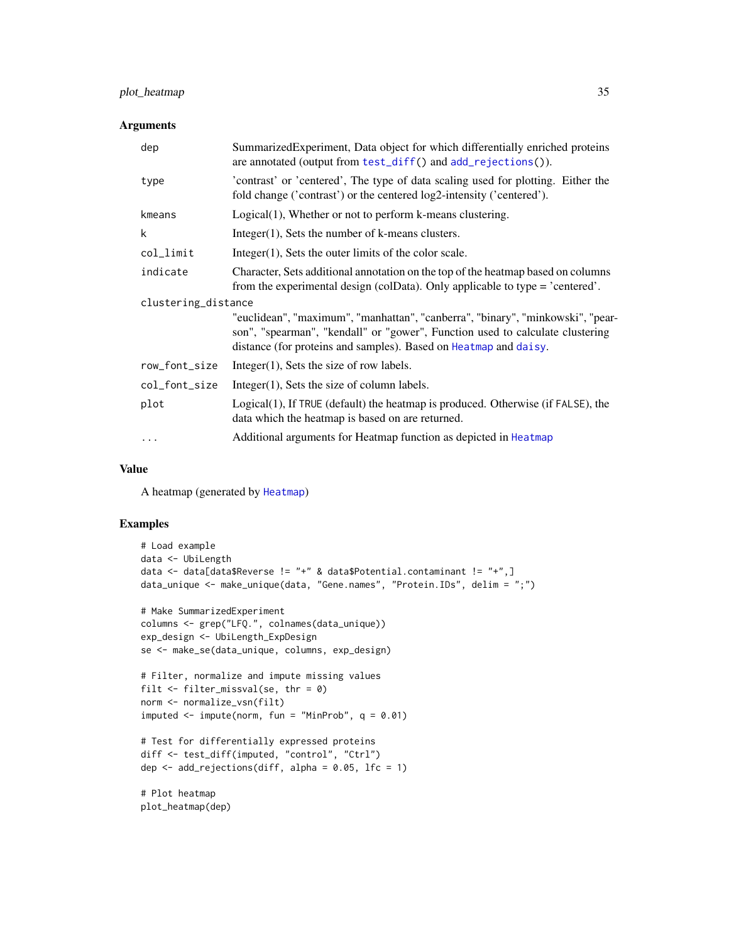# <span id="page-34-0"></span>plot\_heatmap 35

# Arguments

| dep                 | Summarized Experiment, Data object for which differentially enriched proteins<br>are annotated (output from test_diff() and add_rejections()).                                                                                      |  |
|---------------------|-------------------------------------------------------------------------------------------------------------------------------------------------------------------------------------------------------------------------------------|--|
| type                | 'contrast' or 'centered', The type of data scaling used for plotting. Either the<br>fold change ('contrast') or the centered log2-intensity ('centered').                                                                           |  |
| kmeans              | Logical(1), Whether or not to perform k-means clustering.                                                                                                                                                                           |  |
| k                   | Integer $(1)$ , Sets the number of k-means clusters.                                                                                                                                                                                |  |
| col_limit           | $Integer(1)$ , Sets the outer limits of the color scale.                                                                                                                                                                            |  |
| indicate            | Character, Sets additional annotation on the top of the heatmap based on columns<br>from the experimental design (colData). Only applicable to type = 'centered'.                                                                   |  |
| clustering_distance |                                                                                                                                                                                                                                     |  |
|                     | "euclidean", "maximum", "manhattan", "canberra", "binary", "minkowski", "pear-<br>son", "spearman", "kendall" or "gower", Function used to calculate clustering<br>distance (for proteins and samples). Based on Heatmap and daisy. |  |
| row_font_size       | $Integer(1)$ , Sets the size of row labels.                                                                                                                                                                                         |  |
| col_font_size       | $Integer(1)$ , Sets the size of column labels.                                                                                                                                                                                      |  |
| plot                | Logical(1), If TRUE (default) the heatmap is produced. Otherwise (if FALSE), the<br>data which the heatmap is based on are returned.                                                                                                |  |
| $\cdots$            | Additional arguments for Heatmap function as depicted in Heatmap                                                                                                                                                                    |  |

## Value

A heatmap (generated by [Heatmap](#page-0-0))

# Examples

```
# Load example
data <- UbiLength
data <- data[data$Reverse != "+" & data$Potential.contaminant != "+",]
data_unique <- make_unique(data, "Gene.names", "Protein.IDs", delim = ";")
# Make SummarizedExperiment
columns <- grep("LFQ.", colnames(data_unique))
exp_design <- UbiLength_ExpDesign
se <- make_se(data_unique, columns, exp_design)
# Filter, normalize and impute missing values
filt <- filter_missval(se, thr = 0)
norm <- normalize_vsn(filt)
imputed \le impute(norm, fun = "MinProb", q = 0.01)
# Test for differentially expressed proteins
diff <- test_diff(imputed, "control", "Ctrl")
dep \leq add_rejections(diff, alpha = 0.05, lfc = 1)
```
# Plot heatmap plot\_heatmap(dep)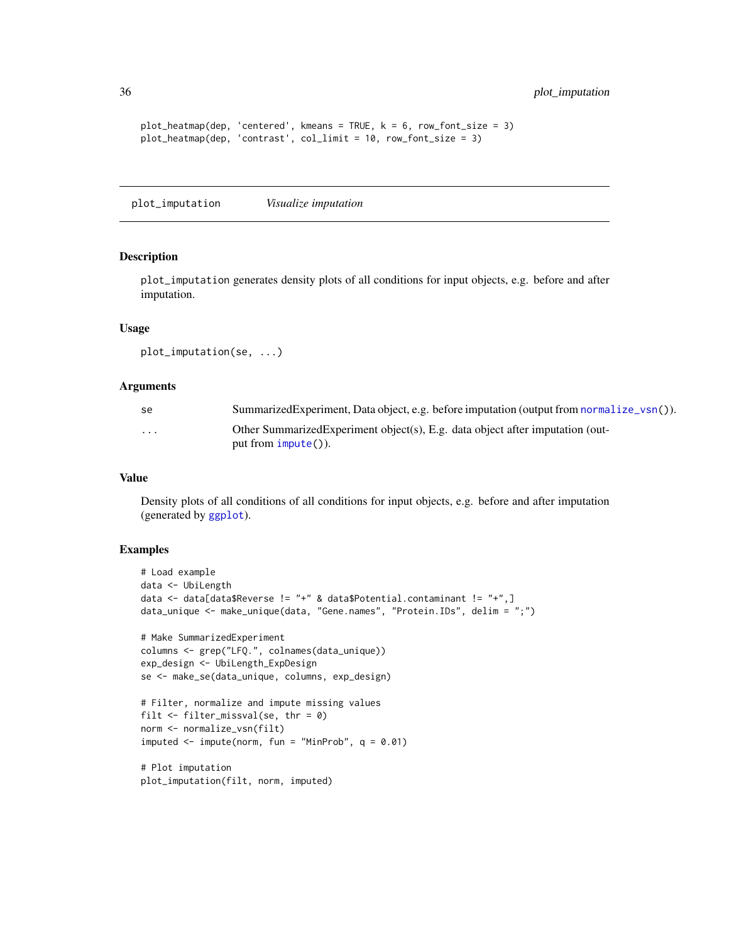```
plot\_heatmap(dep, 'centered', kmeans = TRUE, k = 6, row_font_size = 3)plot_heatmap(dep, 'contrast', col_limit = 10, row_font_size = 3)
```
<span id="page-35-1"></span>plot\_imputation *Visualize imputation*

#### Description

plot\_imputation generates density plots of all conditions for input objects, e.g. before and after imputation.

#### Usage

```
plot_imputation(se, ...)
```
#### Arguments

| Summarized Experiment, Data object, e.g. before imputation (output from normalize_vsn()). |
|-------------------------------------------------------------------------------------------|
| Other Summarized Experiment object(s), E.g. data object after imputation (out-            |
|                                                                                           |

# Value

Density plots of all conditions of all conditions for input objects, e.g. before and after imputation (generated by [ggplot](#page-0-0)).

```
# Load example
data <- UbiLength
data <- data[data$Reverse != "+" & data$Potential.contaminant != "+",]
data_unique <- make_unique(data, "Gene.names", "Protein.IDs", delim = ";")
# Make SummarizedExperiment
columns <- grep("LFQ.", colnames(data_unique))
exp_design <- UbiLength_ExpDesign
se <- make_se(data_unique, columns, exp_design)
# Filter, normalize and impute missing values
filt \le filter_missval(se, thr = 0)
norm <- normalize_vsn(filt)
imputed \leq impute(norm, fun = "MinProb", q = 0.01)
# Plot imputation
plot_imputation(filt, norm, imputed)
```
<span id="page-35-0"></span>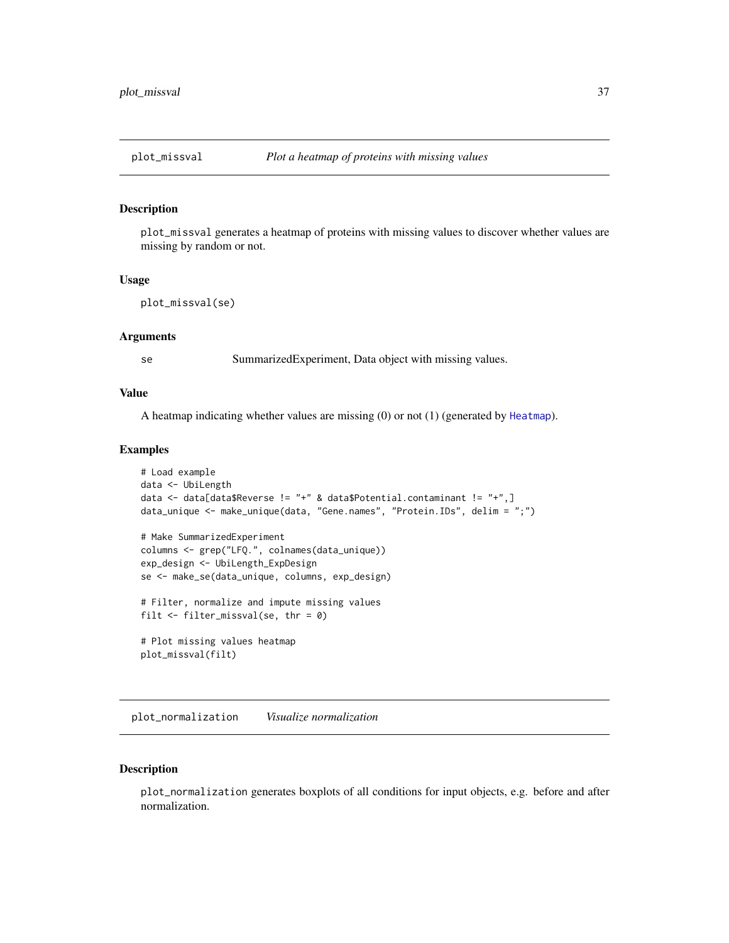<span id="page-36-2"></span><span id="page-36-0"></span>

plot\_missval generates a heatmap of proteins with missing values to discover whether values are missing by random or not.

#### Usage

```
plot_missval(se)
```
#### Arguments

se SummarizedExperiment, Data object with missing values.

#### Value

A heatmap indicating whether values are missing (0) or not (1) (generated by [Heatmap](#page-0-0)).

#### Examples

```
# Load example
data <- UbiLength
data <- data[data$Reverse != "+" & data$Potential.contaminant != "+",]
data_unique <- make_unique(data, "Gene.names", "Protein.IDs", delim = ";")
# Make SummarizedExperiment
columns <- grep("LFQ.", colnames(data_unique))
exp_design <- UbiLength_ExpDesign
se <- make_se(data_unique, columns, exp_design)
# Filter, normalize and impute missing values
filt \le filter_missval(se, thr = 0)
# Plot missing values heatmap
plot_missval(filt)
```
<span id="page-36-1"></span>plot\_normalization *Visualize normalization*

#### Description

plot\_normalization generates boxplots of all conditions for input objects, e.g. before and after normalization.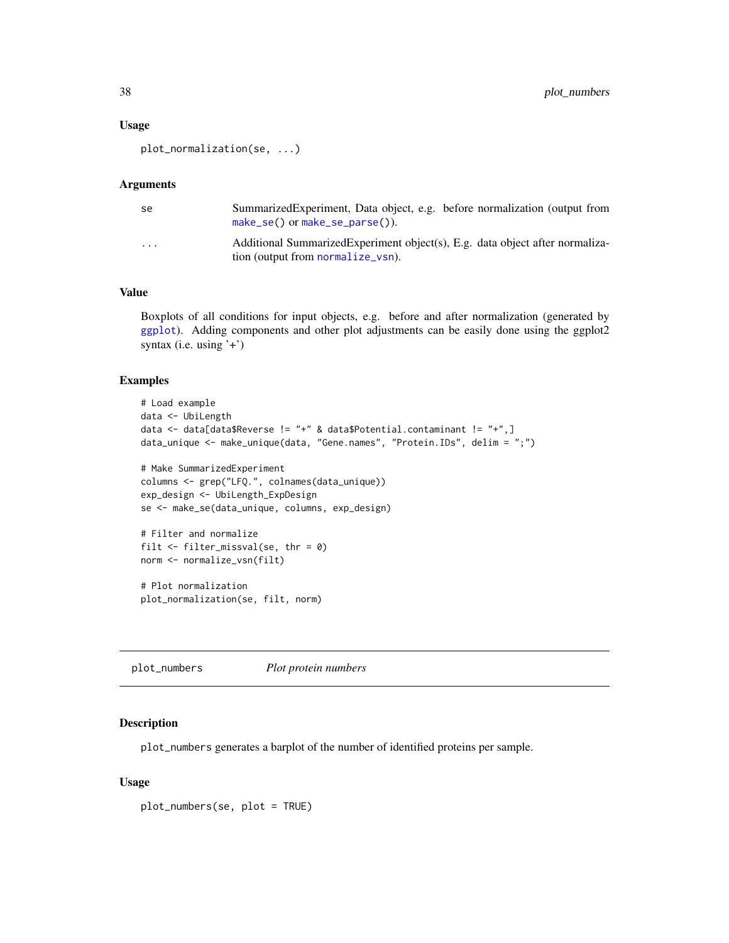#### <span id="page-37-0"></span>Usage

```
plot_normalization(se, ...)
```
#### Arguments

| -se      | SummarizedExperiment, Data object, e.g. before normalization (output from<br>$make\_se()$ or $make\_se\_parse()$ ). |
|----------|---------------------------------------------------------------------------------------------------------------------|
| $\cdots$ | Additional Summarized Experiment object(s), E.g. data object after normaliza-<br>tion (output from normalize_vsn).  |

# Value

Boxplots of all conditions for input objects, e.g. before and after normalization (generated by [ggplot](#page-0-0)). Adding components and other plot adjustments can be easily done using the ggplot2 syntax (i.e. using  $'$ +')

# Examples

```
# Load example
data <- UbiLength
data <- data[data$Reverse != "+" & data$Potential.contaminant != "+",]
data_unique <- make_unique(data, "Gene.names", "Protein.IDs", delim = ";")
# Make SummarizedExperiment
columns <- grep("LFQ.", colnames(data_unique))
exp_design <- UbiLength_ExpDesign
se <- make_se(data_unique, columns, exp_design)
# Filter and normalize
filt \le- filter_missval(se, thr = 0)
norm <- normalize_vsn(filt)
# Plot normalization
plot_normalization(se, filt, norm)
```
<span id="page-37-1"></span>plot\_numbers *Plot protein numbers*

#### Description

plot\_numbers generates a barplot of the number of identified proteins per sample.

#### Usage

plot\_numbers(se, plot = TRUE)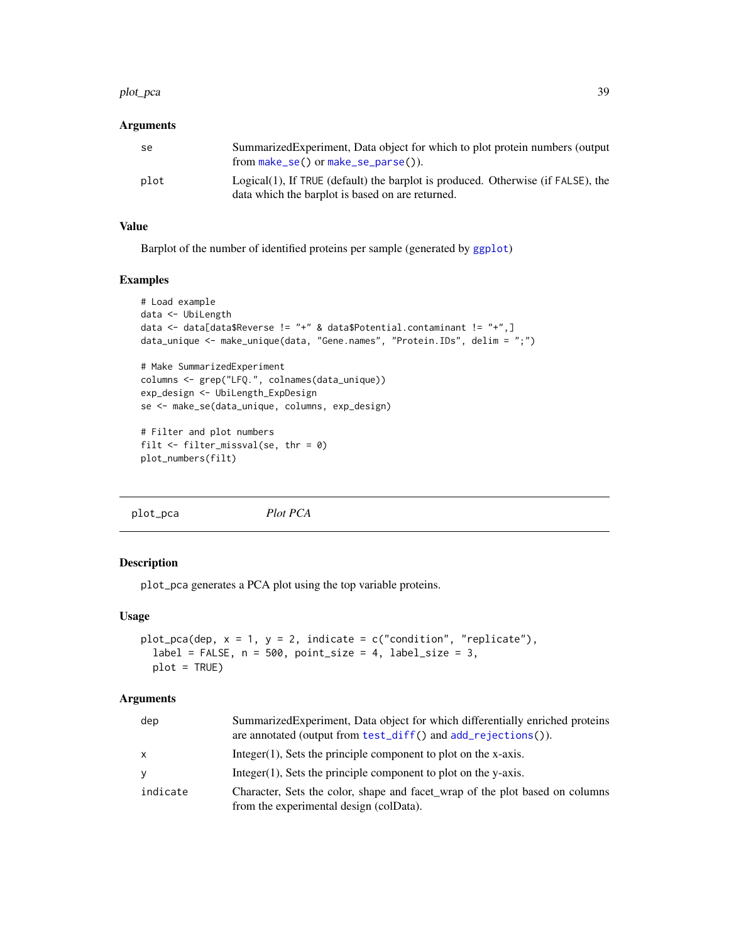#### <span id="page-38-0"></span>plot\_pca 39

#### Arguments

| -se  | Summarized Experiment, Data object for which to plot protein numbers (output<br>from $make\_se()$ or $make\_se\_parse()$ .              |
|------|-----------------------------------------------------------------------------------------------------------------------------------------|
| plot | $Logical(1)$ , If TRUE (default) the barplot is produced. Otherwise (if FALSE), the<br>data which the barplot is based on are returned. |

#### Value

Barplot of the number of identified proteins per sample (generated by [ggplot](#page-0-0))

#### Examples

```
# Load example
data <- UbiLength
data <- data[data$Reverse != "+" & data$Potential.contaminant != "+",]
data_unique <- make_unique(data, "Gene.names", "Protein.IDs", delim = ";")
# Make SummarizedExperiment
columns <- grep("LFQ.", colnames(data_unique))
exp_design <- UbiLength_ExpDesign
se <- make_se(data_unique, columns, exp_design)
# Filter and plot numbers
filt <- filter_missval(se, thr = 0)
plot_numbers(filt)
```
<span id="page-38-1"></span>plot\_pca *Plot PCA*

#### Description

plot\_pca generates a PCA plot using the top variable proteins.

## Usage

```
plot_pca(dep, x = 1, y = 2, indicate = c("condition", "replicate"),
  label = FALSE, n = 500, point_size = 4, label_size = 3,plot = TRUE)
```
#### Arguments

| dep          | Summarized Experiment, Data object for which differentially enriched proteins<br>are annotated (output from $test\_diff()$ and $add\_rejections()$ ). |
|--------------|-------------------------------------------------------------------------------------------------------------------------------------------------------|
| $\mathsf{x}$ | Integer $(1)$ . Sets the principle component to plot on the x-axis.                                                                                   |
| У            | Integer $(1)$ . Sets the principle component to plot on the y-axis.                                                                                   |
| indicate     | Character, Sets the color, shape and facet_wrap of the plot based on columns<br>from the experimental design (colData).                               |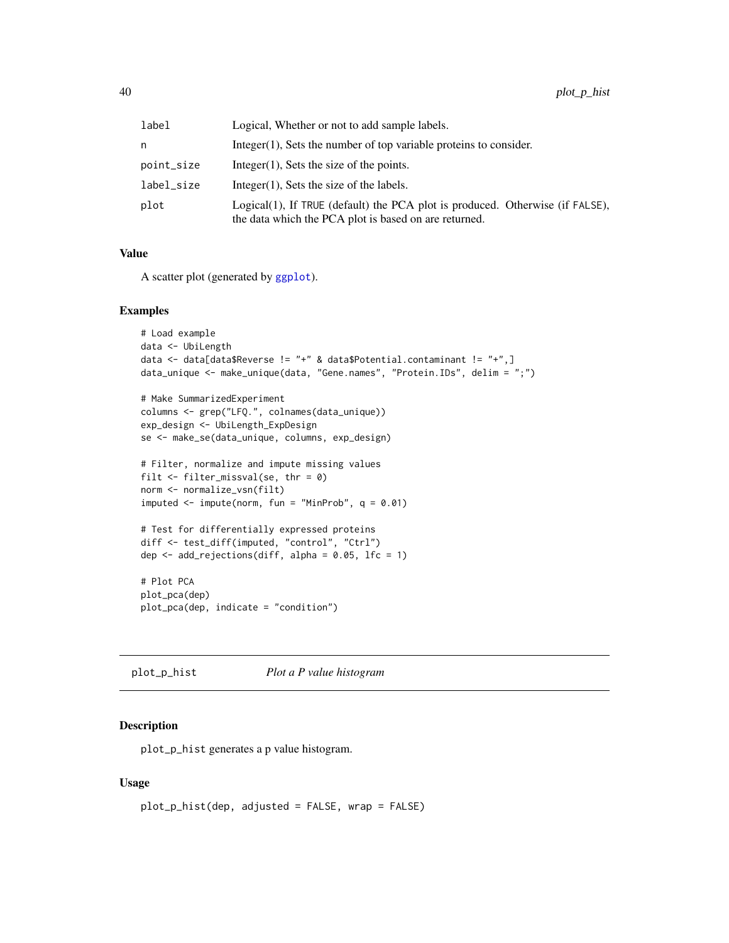<span id="page-39-0"></span>

| label      | Logical, Whether or not to add sample labels.                                                                                          |
|------------|----------------------------------------------------------------------------------------------------------------------------------------|
| n          | Integer $(1)$ , Sets the number of top variable proteins to consider.                                                                  |
| point_size | Integer $(1)$ , Sets the size of the points.                                                                                           |
| label_size | Integer $(1)$ , Sets the size of the labels.                                                                                           |
| plot       | Logical(1), If TRUE (default) the PCA plot is produced. Otherwise (if FALSE),<br>the data which the PCA plot is based on are returned. |

#### Value

A scatter plot (generated by [ggplot](#page-0-0)).

#### Examples

```
# Load example
data <- UbiLength
data <- data[data$Reverse != "+" & data$Potential.contaminant != "+",]
data_unique <- make_unique(data, "Gene.names", "Protein.IDs", delim = ";")
# Make SummarizedExperiment
columns <- grep("LFQ.", colnames(data_unique))
exp_design <- UbiLength_ExpDesign
se <- make_se(data_unique, columns, exp_design)
# Filter, normalize and impute missing values
filt \le filter_missval(se, thr = 0)
norm <- normalize_vsn(filt)
imputed \le impute(norm, fun = "MinProb", q = 0.01)
# Test for differentially expressed proteins
diff <- test_diff(imputed, "control", "Ctrl")
dep \le add_rejections(diff, alpha = 0.05, lfc = 1)
# Plot PCA
plot_pca(dep)
plot_pca(dep, indicate = "condition")
```
<span id="page-39-1"></span>plot\_p\_hist *Plot a P value histogram*

# Description

plot\_p\_hist generates a p value histogram.

#### Usage

```
plot_p_hist(dep, adjusted = FALSE, wrap = FALSE)
```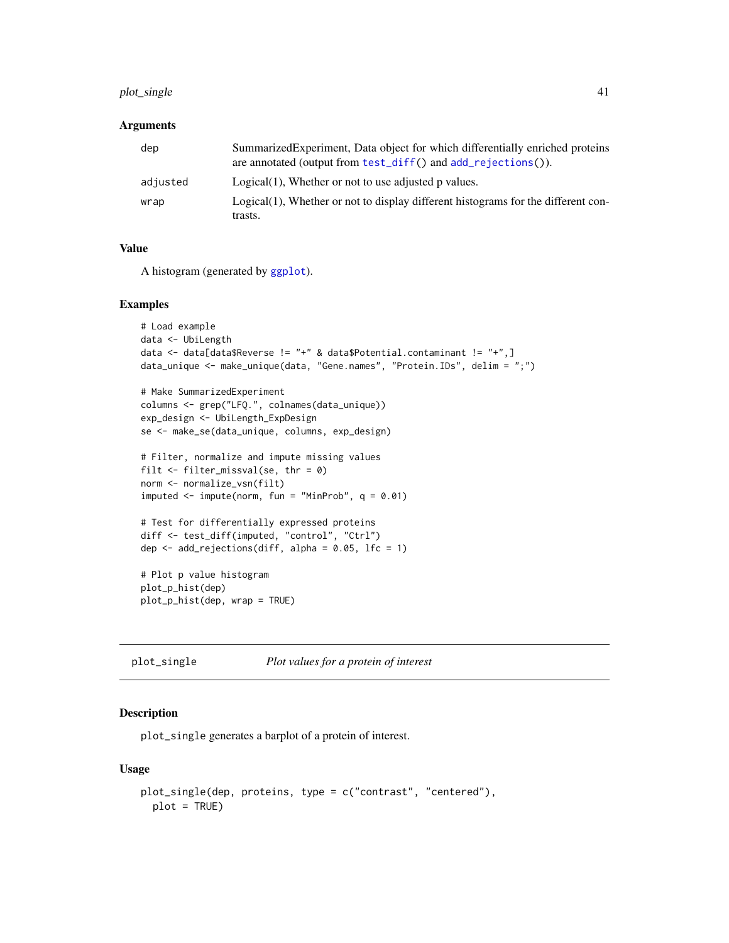# <span id="page-40-0"></span>plot\_single 41

#### Arguments

| dep      | Summarized Experiment, Data object for which differentially enriched proteins<br>are annotated (output from test_diff() and add_rejections()). |
|----------|------------------------------------------------------------------------------------------------------------------------------------------------|
| adjusted | $Logical(1)$ , Whether or not to use adjusted p values.                                                                                        |
| wrap     | $Logical(1)$ , Whether or not to display different histograms for the different con-<br>trasts.                                                |

# Value

A histogram (generated by [ggplot](#page-0-0)).

#### Examples

```
# Load example
data <- UbiLength
data <- data[data$Reverse != "+" & data$Potential.contaminant != "+",]
data_unique <- make_unique(data, "Gene.names", "Protein.IDs", delim = ";")
# Make SummarizedExperiment
```

```
columns <- grep("LFQ.", colnames(data_unique))
exp_design <- UbiLength_ExpDesign
se <- make_se(data_unique, columns, exp_design)
```

```
# Filter, normalize and impute missing values
filt \le filter_missval(se, thr = 0)
norm <- normalize_vsn(filt)
imputed \leq impute(norm, fun = "MinProb", q = 0.01)
```

```
# Test for differentially expressed proteins
diff <- test_diff(imputed, "control", "Ctrl")
dep <- add_rejections(diff, alpha = 0.05, lfc = 1)
```

```
# Plot p value histogram
plot_p_hist(dep)
plot_p_hist(dep, wrap = TRUE)
```
<span id="page-40-1"></span>plot\_single *Plot values for a protein of interest*

# Description

plot\_single generates a barplot of a protein of interest.

#### Usage

```
plot_single(dep, proteins, type = c("contrast", "centered"),
 plot = TRUE)
```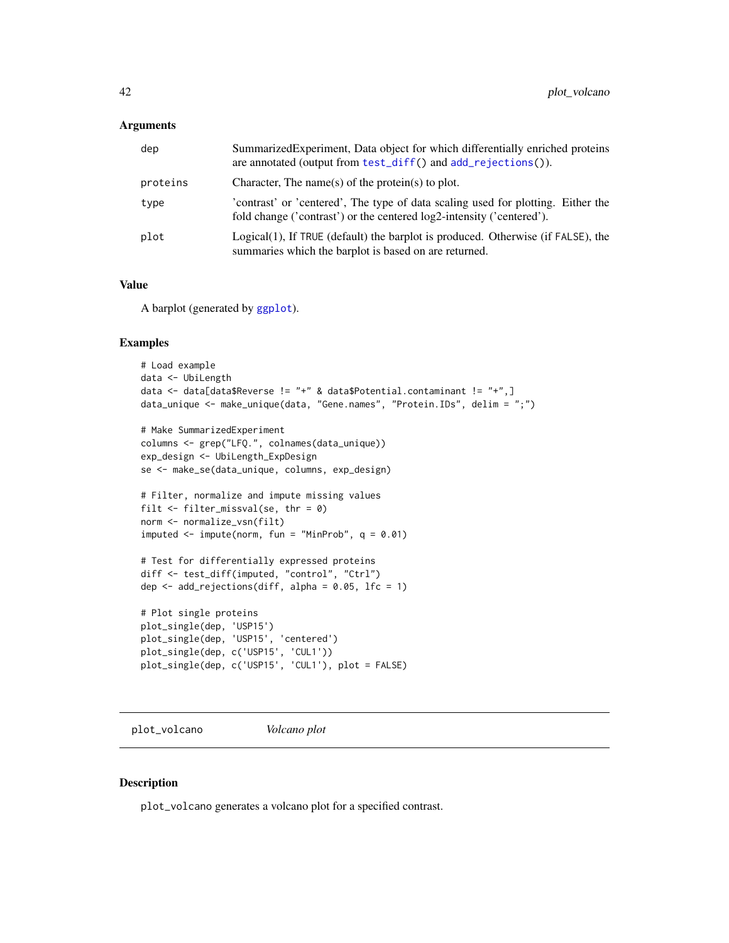<span id="page-41-0"></span>

| dep      | SummarizedExperiment, Data object for which differentially enriched proteins<br>are annotated (output from test_diff() and add_rejections()).             |
|----------|-----------------------------------------------------------------------------------------------------------------------------------------------------------|
| proteins | Character, The name(s) of the protein(s) to plot.                                                                                                         |
| type     | 'contrast' or 'centered', The type of data scaling used for plotting. Either the<br>fold change ('contrast') or the centered log2-intensity ('centered'). |
| plot     | Logical(1), If TRUE (default) the barplot is produced. Otherwise (if FALSE), the<br>summaries which the barplot is based on are returned.                 |

#### Value

A barplot (generated by [ggplot](#page-0-0)).

#### Examples

```
# Load example
data <- UbiLength
data <- data[data$Reverse != "+" & data$Potential.contaminant != "+",]
data_unique <- make_unique(data, "Gene.names", "Protein.IDs", delim = ";")
# Make SummarizedExperiment
columns <- grep("LFQ.", colnames(data_unique))
exp_design <- UbiLength_ExpDesign
se <- make_se(data_unique, columns, exp_design)
# Filter, normalize and impute missing values
filt \le filter_missval(se, thr = 0)
norm <- normalize_vsn(filt)
imputed \leq impute(norm, fun = "MinProb", q = 0.01)
# Test for differentially expressed proteins
diff <- test_diff(imputed, "control", "Ctrl")
dep \leq add_rejections(diff, alpha = 0.05, lfc = 1)
# Plot single proteins
plot_single(dep, 'USP15')
plot_single(dep, 'USP15', 'centered')
plot_single(dep, c('USP15', 'CUL1'))
plot_single(dep, c('USP15', 'CUL1'), plot = FALSE)
```
<span id="page-41-1"></span>plot\_volcano *Volcano plot*

#### Description

plot\_volcano generates a volcano plot for a specified contrast.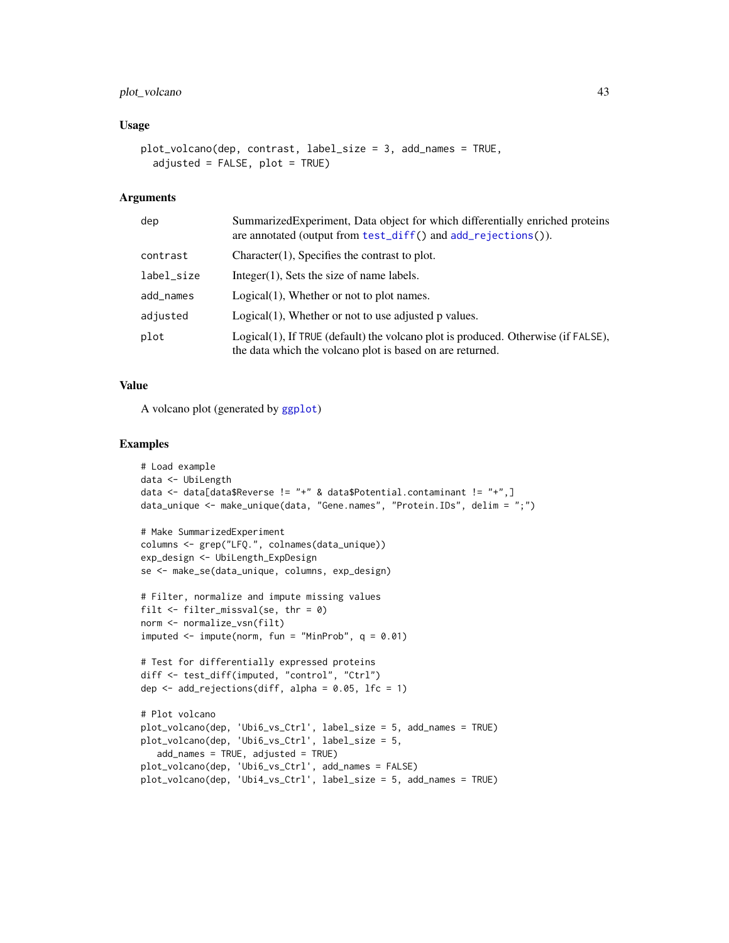# <span id="page-42-0"></span>plot\_volcano 43

#### Usage

```
plot_volcano(dep, contrast, label_size = 3, add_names = TRUE,
  adjusted = FALSE, plot = TRUE)
```
#### Arguments

| dep        | SummarizedExperiment, Data object for which differentially enriched proteins<br>are annotated (output from test_diff() and add_rejections()).  |
|------------|------------------------------------------------------------------------------------------------------------------------------------------------|
| contrast   | $Character(1)$ , Specifies the contrast to plot.                                                                                               |
| label_size | $Integer(1)$ , Sets the size of name labels.                                                                                                   |
| add_names  | $Logical(1)$ , Whether or not to plot names.                                                                                                   |
| adjusted   | $Logical(1)$ , Whether or not to use adjusted p values.                                                                                        |
| plot       | Logical(1), If TRUE (default) the volcano plot is produced. Otherwise (if FALSE),<br>the data which the volcano plot is based on are returned. |

# Value

A volcano plot (generated by [ggplot](#page-0-0))

```
# Load example
data <- UbiLength
data <- data[data$Reverse != "+" & data$Potential.contaminant != "+",]
data_unique <- make_unique(data, "Gene.names", "Protein.IDs", delim = ";")
# Make SummarizedExperiment
columns <- grep("LFQ.", colnames(data_unique))
exp_design <- UbiLength_ExpDesign
se <- make_se(data_unique, columns, exp_design)
# Filter, normalize and impute missing values
filt \le filter_missval(se, thr = 0)
norm <- normalize_vsn(filt)
imputed \leq impute(norm, fun = "MinProb", q = 0.01)
# Test for differentially expressed proteins
diff <- test_diff(imputed, "control", "Ctrl")
dep \leq add_rejections(diff, alpha = 0.05, lfc = 1)
# Plot volcano
plot_volcano(dep, 'Ubi6_vs_Ctrl', label_size = 5, add_names = TRUE)
plot_volcano(dep, 'Ubi6_vs_Ctrl', label_size = 5,
   add_names = TRUE, adjusted = TRUE)
plot_volcano(dep, 'Ubi6_vs_Ctrl', add_names = FALSE)
plot_volcano(dep, 'Ubi4_vs_Ctrl', label_size = 5, add_names = TRUE)
```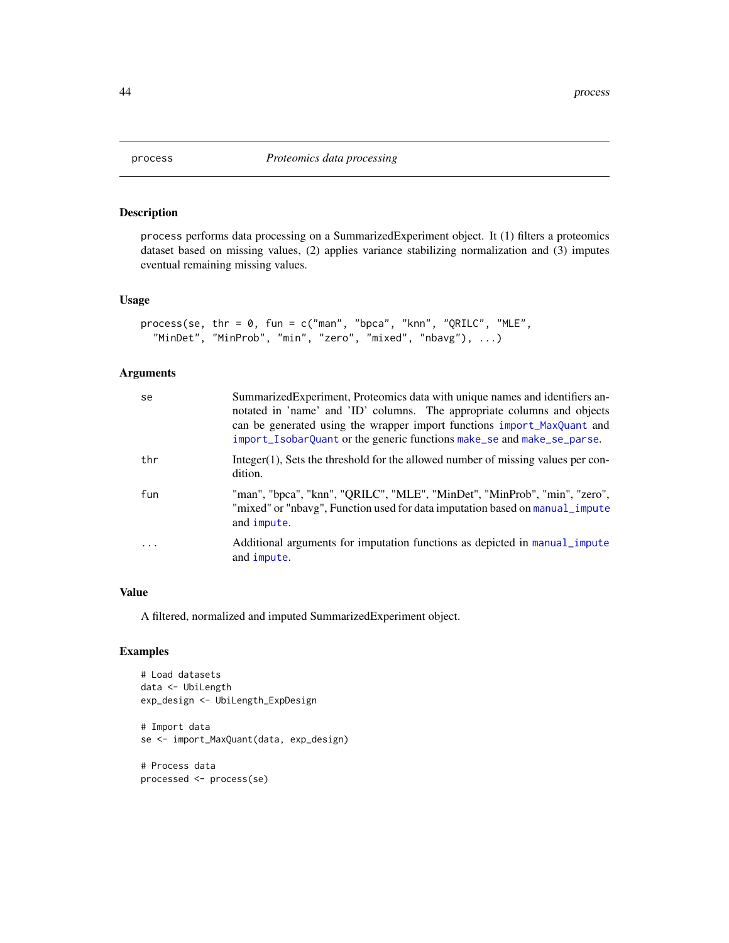<span id="page-43-1"></span><span id="page-43-0"></span>

process performs data processing on a SummarizedExperiment object. It (1) filters a proteomics dataset based on missing values, (2) applies variance stabilizing normalization and (3) imputes eventual remaining missing values.

#### Usage

```
process(se, thr = 0, fun = c("man", "bpca", "knn", "QRILC", "MLE",
  "MinDet", "MinProb", "min", "zero", "mixed", "nbavg"), ...)
```
# Arguments

| se        | SummarizedExperiment, Proteomics data with unique names and identifiers an-<br>notated in 'name' and 'ID' columns. The appropriate columns and objects<br>can be generated using the wrapper import functions import_MaxQuant and<br>import_IsobarQuant or the generic functions make_se and make_se_parse. |
|-----------|-------------------------------------------------------------------------------------------------------------------------------------------------------------------------------------------------------------------------------------------------------------------------------------------------------------|
| thr       | Integer(1), Sets the threshold for the allowed number of missing values per con-<br>dition.                                                                                                                                                                                                                 |
| fun       | "man", "bpca", "knn", "QRILC", "MLE", "MinDet", "MinProb", "min", "zero",<br>"mixed" or "nbavg", Function used for data imputation based on manual_impute<br>and impute.                                                                                                                                    |
| $\ddotsc$ | Additional arguments for imputation functions as depicted in manual_impute<br>and impute.                                                                                                                                                                                                                   |

# Value

A filtered, normalized and imputed SummarizedExperiment object.

```
# Load datasets
data <- UbiLength
exp_design <- UbiLength_ExpDesign
# Import data
se <- import_MaxQuant(data, exp_design)
# Process data
processed <- process(se)
```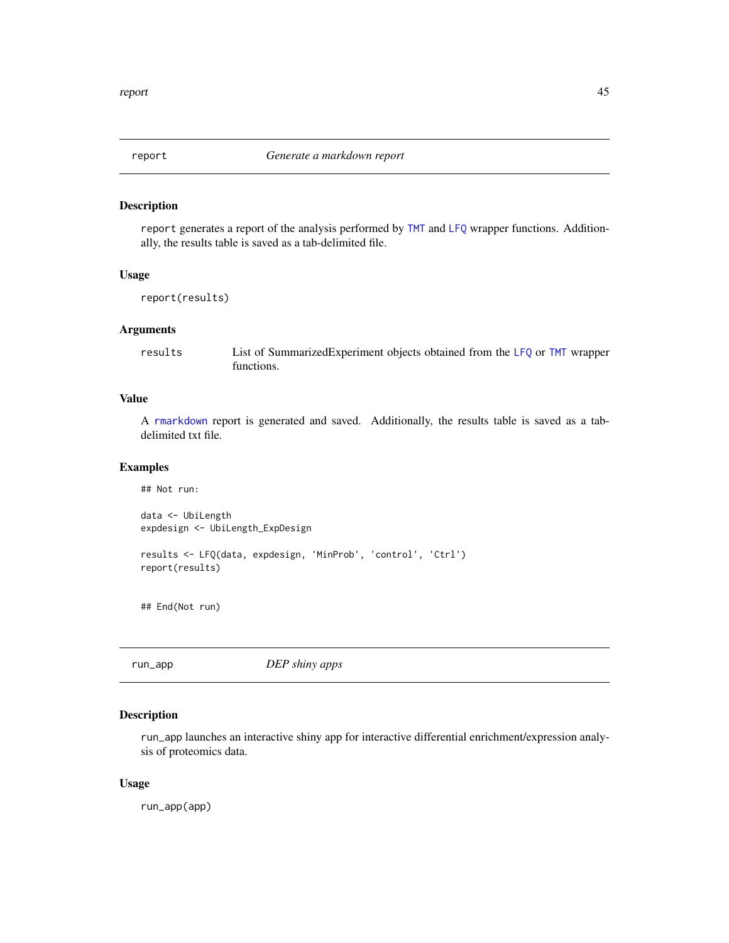<span id="page-44-2"></span><span id="page-44-0"></span>

report generates a report of the analysis performed by [TMT](#page-50-1) and [LFQ](#page-17-1) wrapper functions. Additionally, the results table is saved as a tab-delimited file.

# Usage

```
report(results)
```
#### Arguments

results List of SummarizedExperiment objects obtained from the [LFQ](#page-17-1) or [TMT](#page-50-1) wrapper functions.

# Value

A [rmarkdown](#page-0-0) report is generated and saved. Additionally, the results table is saved as a tabdelimited txt file.

# Examples

```
## Not run:
data <- UbiLength
expdesign <- UbiLength_ExpDesign
results <- LFQ(data, expdesign, 'MinProb', 'control', 'Ctrl')
report(results)
## End(Not run)
```
<span id="page-44-1"></span>

run\_app *DEP shiny apps*

# Description

run\_app launches an interactive shiny app for interactive differential enrichment/expression analysis of proteomics data.

#### Usage

run\_app(app)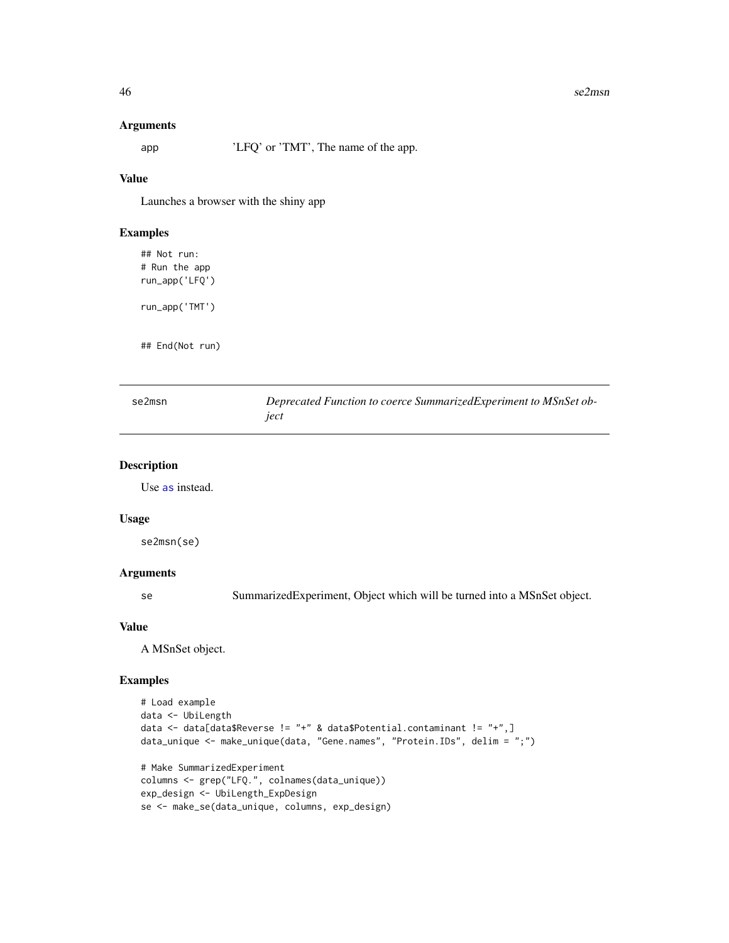#### 46 se2msn

#### Arguments

app 'LFQ' or 'TMT', The name of the app.

#### Value

Launches a browser with the shiny app

## Examples

## Not run: # Run the app run\_app('LFQ')

run\_app('TMT')

## End(Not run)

<span id="page-45-1"></span>

| se2msn | Deprecated Function to coerce Summarized Experiment to MSnSet ob- |
|--------|-------------------------------------------------------------------|
|        | iect                                                              |

#### Description

Use [as](#page-0-0) instead.

#### Usage

se2msn(se)

# Arguments

se SummarizedExperiment, Object which will be turned into a MSnSet object.

# Value

A MSnSet object.

```
# Load example
data <- UbiLength
data <- data[data$Reverse != "+" & data$Potential.contaminant != "+",]
data_unique <- make_unique(data, "Gene.names", "Protein.IDs", delim = ";")
# Make SummarizedExperiment
columns <- grep("LFQ.", colnames(data_unique))
exp_design <- UbiLength_ExpDesign
se <- make_se(data_unique, columns, exp_design)
```
<span id="page-45-0"></span>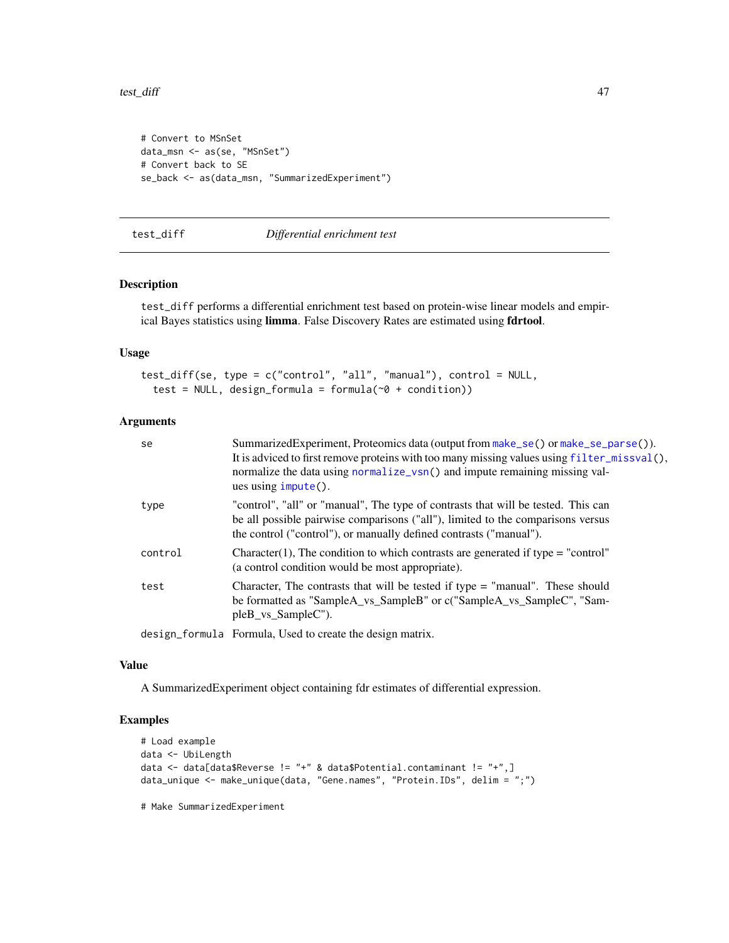<span id="page-46-0"></span>test\_diff 47

```
# Convert to MSnSet
data_msn <- as(se, "MSnSet")
# Convert back to SE
se_back <- as(data_msn, "SummarizedExperiment")
```
<span id="page-46-1"></span>test\_diff *Differential enrichment test*

# Description

test\_diff performs a differential enrichment test based on protein-wise linear models and empirical Bayes statistics using limma. False Discovery Rates are estimated using fdrtool.

# Usage

```
test_diff(se, type = c("control", "all", "manual"), control = NULL,
  test = NULL, design_formula = formula(\sim0 + condition))
```
#### Arguments

| se      | SummarizedExperiment, Proteomics data (output from make_se() or make_se_parse()).<br>It is adviced to first remove proteins with too many missing values using $filter\_misval()$ ,<br>normalize the data using normalize_vsn() and impute remaining missing val-<br>ues using <code>impute()</code> . |
|---------|--------------------------------------------------------------------------------------------------------------------------------------------------------------------------------------------------------------------------------------------------------------------------------------------------------|
| type    | "control", "all" or "manual", The type of contrasts that will be tested. This can<br>be all possible pairwise comparisons ("all"), limited to the comparisons versus<br>the control ("control"), or manually defined contrasts ("manual").                                                             |
| control | Character(1), The condition to which contrasts are generated if type = "control"<br>(a control condition would be most appropriate).                                                                                                                                                                   |
| test    | Character, The contrasts that will be tested if type $=$ "manual". These should<br>be formatted as "SampleA_vs_SampleB" or c("SampleA_vs_SampleC", "Sam-<br>pleB vs SampleC").                                                                                                                         |
|         | design formula Formula, Used to create the design matrix.                                                                                                                                                                                                                                              |

#### Value

A SummarizedExperiment object containing fdr estimates of differential expression.

#### Examples

```
# Load example
data <- UbiLength
data <- data[data$Reverse != "+" & data$Potential.contaminant != "+",]
data_unique <- make_unique(data, "Gene.names", "Protein.IDs", delim = ";")
```
# Make SummarizedExperiment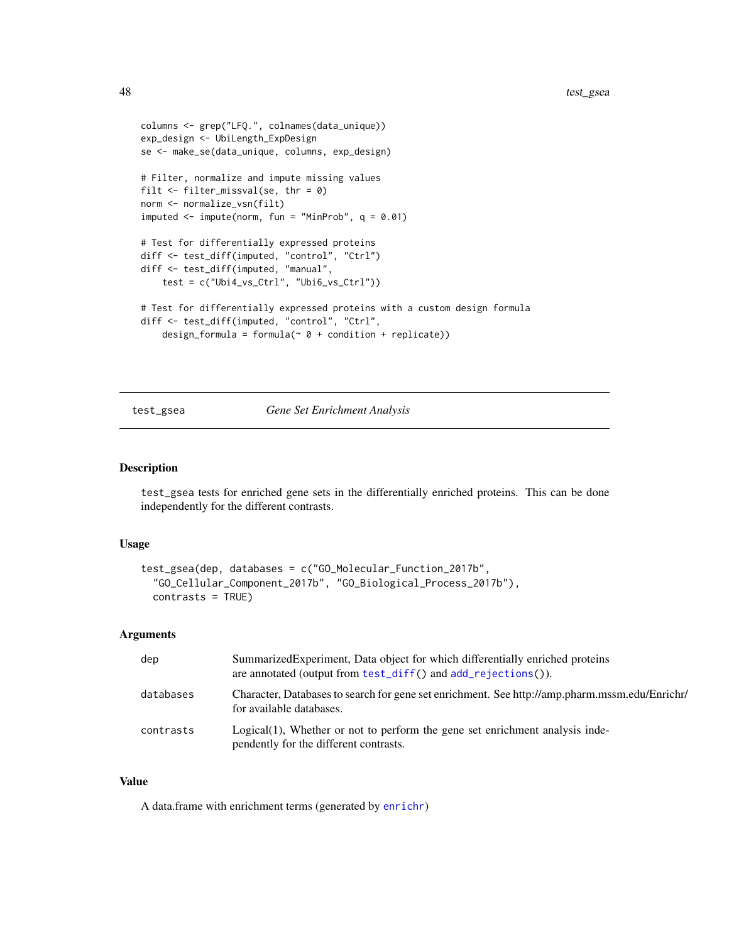```
columns <- grep("LFQ.", colnames(data_unique))
exp_design <- UbiLength_ExpDesign
se <- make_se(data_unique, columns, exp_design)
# Filter, normalize and impute missing values
filt <- filter_missval(se, thr = 0)
norm <- normalize_vsn(filt)
imputed \leq impute(norm, fun = "MinProb", q = 0.01)
# Test for differentially expressed proteins
diff <- test_diff(imputed, "control", "Ctrl")
diff <- test_diff(imputed, "manual",
    test = c("Ubi4_vs_Ctrl", "Ubi6_vs_Ctrl"))
# Test for differentially expressed proteins with a custom design formula
diff <- test_diff(imputed, "control", "Ctrl",
   design_formula = formula(\sim 0 + condition + replicate))
```
#### <span id="page-47-1"></span>test\_gsea *Gene Set Enrichment Analysis*

#### Description

test\_gsea tests for enriched gene sets in the differentially enriched proteins. This can be done independently for the different contrasts.

#### Usage

```
test_gsea(dep, databases = c("GO_Molecular_Function_2017b",
  "GO_Cellular_Component_2017b", "GO_Biological_Process_2017b"),
  contrasts = TRUE)
```
#### Arguments

| dep       | Summarized Experiment, Data object for which differentially enriched proteins<br>are annotated (output from test_diff() and add_rejections()). |
|-----------|------------------------------------------------------------------------------------------------------------------------------------------------|
| databases | Character, Databases to search for gene set enrichment. See http://amp.pharm.mssm.edu/Enrichr/<br>for available databases.                     |
| contrasts | $Logical(1)$ , Whether or not to perform the gene set enrichment analysis inde-<br>pendently for the different contrasts.                      |

#### Value

A data.frame with enrichment terms (generated by [enrichr](#page-0-0))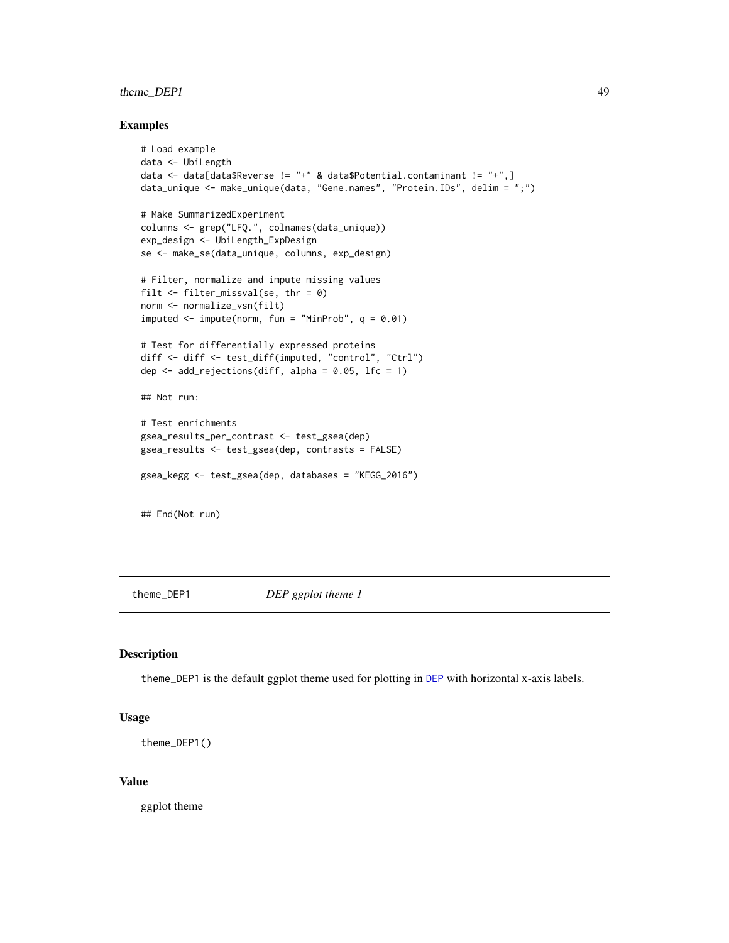# <span id="page-48-0"></span>theme\_DEP1 49

#### Examples

```
# Load example
data <- UbiLength
data <- data[data$Reverse != "+" & data$Potential.contaminant != "+",]
data_unique <- make_unique(data, "Gene.names", "Protein.IDs", delim = ";")
# Make SummarizedExperiment
columns <- grep("LFQ.", colnames(data_unique))
exp_design <- UbiLength_ExpDesign
se <- make_se(data_unique, columns, exp_design)
# Filter, normalize and impute missing values
filt <- filter_missval(se, thr = 0)
norm <- normalize_vsn(filt)
imputed \leq impute(norm, fun = "MinProb", q = 0.01)
# Test for differentially expressed proteins
diff <- diff <- test_diff(imputed, "control", "Ctrl")
dep \leq add_rejections(diff, alpha = 0.05, lfc = 1)
## Not run:
# Test enrichments
gsea_results_per_contrast <- test_gsea(dep)
gsea_results <- test_gsea(dep, contrasts = FALSE)
gsea_kegg <- test_gsea(dep, databases = "KEGG_2016")
## End(Not run)
```
theme\_DEP1 *DEP ggplot theme 1*

# Description

theme\_DEP1 is the default ggplot theme used for plotting in [DEP](#page-4-1) with horizontal x-axis labels.

#### Usage

```
theme_DEP1()
```
# Value

ggplot theme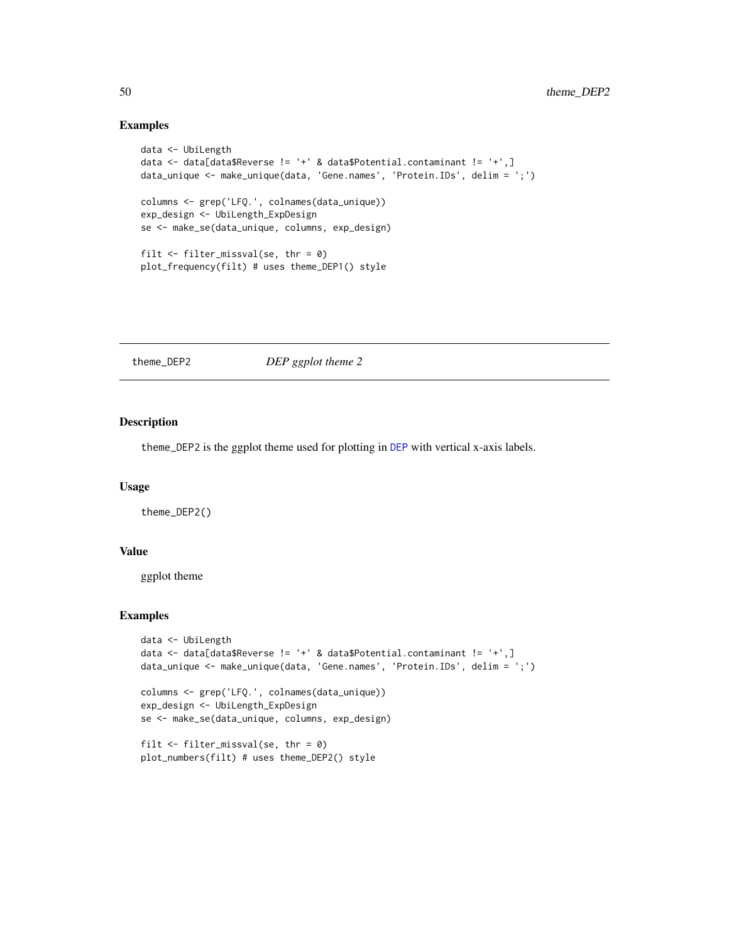#### Examples

```
data <- UbiLength
data <- data[data$Reverse != '+' & data$Potential.contaminant != '+',]
data_unique <- make_unique(data, 'Gene.names', 'Protein.IDs', delim = ';')
columns <- grep('LFQ.', colnames(data_unique))
exp_design <- UbiLength_ExpDesign
se <- make_se(data_unique, columns, exp_design)
filt \le filter_missval(se, thr = 0)
plot_frequency(filt) # uses theme_DEP1() style
```
theme\_DEP2 *DEP ggplot theme 2*

# Description

theme\_DEP2 is the ggplot theme used for plotting in [DEP](#page-4-1) with vertical x-axis labels.

# Usage

theme\_DEP2()

# Value

ggplot theme

```
data <- UbiLength
data <- data[data$Reverse != '+' & data$Potential.contaminant != '+',]
data_unique <- make_unique(data, 'Gene.names', 'Protein.IDs', delim = ';')
columns <- grep('LFQ.', colnames(data_unique))
exp_design <- UbiLength_ExpDesign
se <- make_se(data_unique, columns, exp_design)
filt \le filter_missval(se, thr = 0)
plot_numbers(filt) # uses theme_DEP2() style
```
<span id="page-49-0"></span>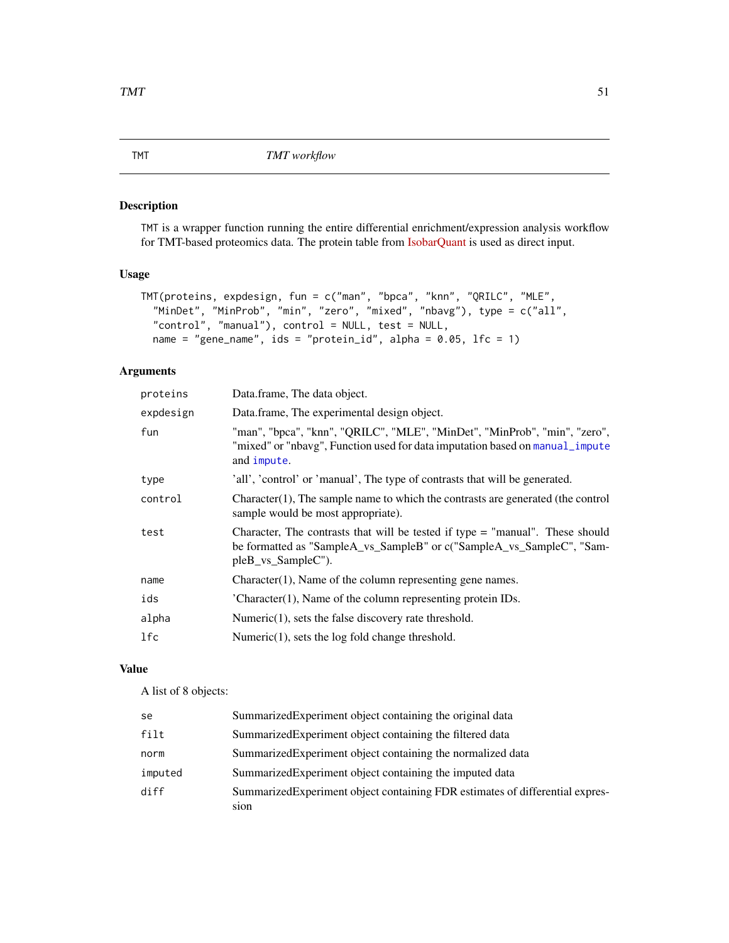<span id="page-50-1"></span><span id="page-50-0"></span>TMT is a wrapper function running the entire differential enrichment/expression analysis workflow for TMT-based proteomics data. The protein table from [IsobarQuant](http://www.nature.com/nprot/journal/v10/n10/full/nprot.2015.101.html) is used as direct input.

# Usage

```
TMT(proteins, expdesign, fun = c("man", "bpca", "knn", "QRILC", "MLE",
  "MinDet", "MinProb", "min", "zero", "mixed", "nbavg"), type = c("all",
  "control", "manual"), control = NULL, test = NULL,
 name = "gene_name", ids = "protein_id", alpha = 0.05, lfc = 1)
```
# Arguments

| proteins  | Data.frame, The data object.                                                                                                                                                   |
|-----------|--------------------------------------------------------------------------------------------------------------------------------------------------------------------------------|
| expdesign | Data.frame, The experimental design object.                                                                                                                                    |
| fun       | "man", "bpca", "knn", "QRILC", "MLE", "MinDet", "MinProb", "min", "zero",<br>"mixed" or "nbavg", Function used for data imputation based on manual_impute<br>and impute.       |
| type      | 'all', 'control' or 'manual', The type of contrasts that will be generated.                                                                                                    |
| control   | $Character(1)$ , The sample name to which the contrasts are generated (the control<br>sample would be most appropriate).                                                       |
| test      | Character, The contrasts that will be tested if type $=$ "manual". These should<br>be formatted as "SampleA_vs_SampleB" or c("SampleA_vs_SampleC", "Sam-<br>pleB_vs_SampleC"). |
| name      | $Character(1)$ , Name of the column representing gene names.                                                                                                                   |
| ids       | $'Character(1)$ , Name of the column representing protein IDs.                                                                                                                 |
| alpha     | Numeric $(1)$ , sets the false discovery rate threshold.                                                                                                                       |
| 1fc       | Numeric $(1)$ , sets the log fold change threshold.                                                                                                                            |
|           |                                                                                                                                                                                |

# Value

A list of 8 objects:

| se      | Summarized Experiment object containing the original data                     |
|---------|-------------------------------------------------------------------------------|
| filt    | Summarized Experiment object containing the filtered data                     |
| norm    | Summarized Experiment object containing the normalized data                   |
| imputed | Summarized Experiment object containing the imputed data                      |
| diff    | Summarized Experiment object containing FDR estimates of differential expres- |
|         | sion                                                                          |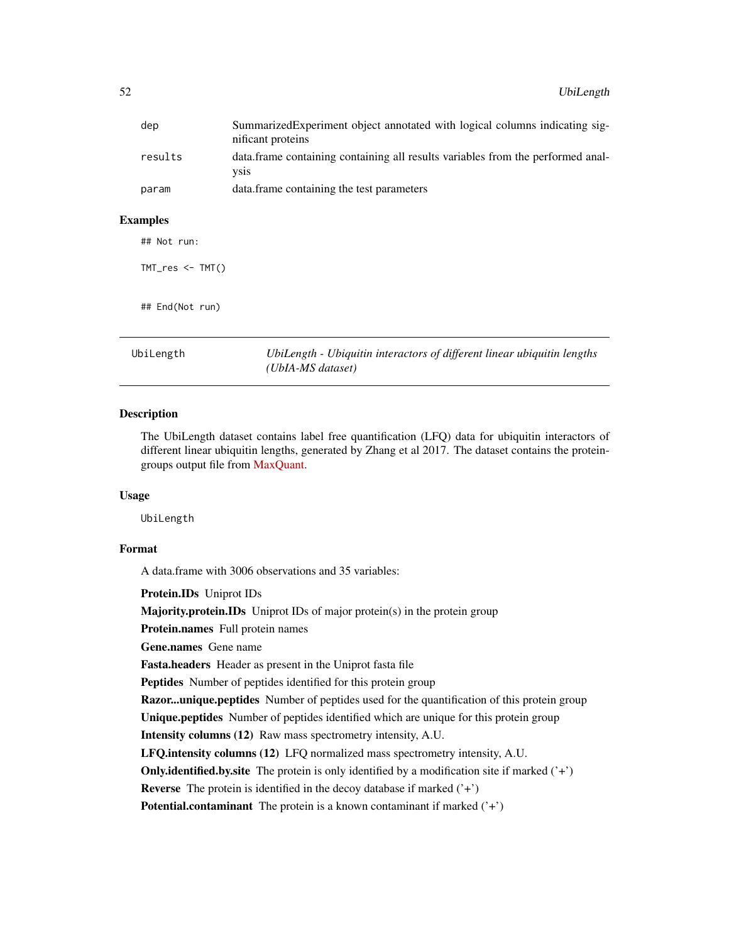<span id="page-51-0"></span>

| dep     | SummarizedExperiment object annotated with logical columns indicating sig-<br>nificant proteins |
|---------|-------------------------------------------------------------------------------------------------|
| results | data. frame containing containing all results variables from the performed anal-<br><b>VS1S</b> |
| param   | data frame containing the test parameters                                                       |
| amples  |                                                                                                 |

# $Exz$

## Not run:

TMT\_res <- TMT()

## End(Not run)

<span id="page-51-1"></span>UbiLength *UbiLength - Ubiquitin interactors of different linear ubiquitin lengths (UbIA-MS dataset)*

# **Description**

The UbiLength dataset contains label free quantification (LFQ) data for ubiquitin interactors of different linear ubiquitin lengths, generated by Zhang et al 2017. The dataset contains the proteingroups output file from [MaxQuant.](http://www.maxquant.org)

#### Usage

UbiLength

# Format

A data.frame with 3006 observations and 35 variables:

Protein.IDs Uniprot IDs

Majority.protein.IDs Uniprot IDs of major protein(s) in the protein group

Protein.names Full protein names

Gene.names Gene name

Fasta.headers Header as present in the Uniprot fasta file

Peptides Number of peptides identified for this protein group

Razor...unique.peptides Number of peptides used for the quantification of this protein group

Unique.peptides Number of peptides identified which are unique for this protein group

Intensity columns (12) Raw mass spectrometry intensity, A.U.

LFQ.intensity columns (12) LFQ normalized mass spectrometry intensity, A.U.

**Only.identified.by.site** The protein is only identified by a modification site if marked  $('+')$ 

**Reverse** The protein is identified in the decoy database if marked  $(3+1)$ 

**Potential.contaminant** The protein is a known contaminant if marked  $('+'$ )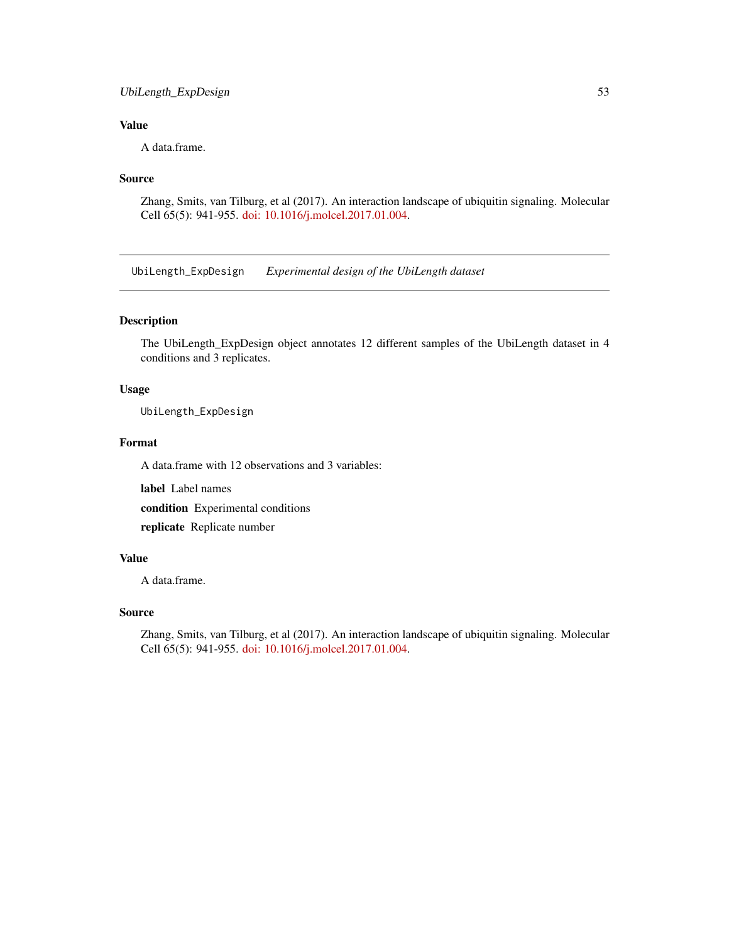# <span id="page-52-0"></span>UbiLength\_ExpDesign 53

# Value

A data.frame.

#### Source

Zhang, Smits, van Tilburg, et al (2017). An interaction landscape of ubiquitin signaling. Molecular Cell 65(5): 941-955. [doi: 10.1016/j.molcel.2017.01.004.](http://www.cell.com/molecular-cell/fulltext/S1097-2765(17)30004-7)

<span id="page-52-1"></span>UbiLength\_ExpDesign *Experimental design of the UbiLength dataset*

# Description

The UbiLength\_ExpDesign object annotates 12 different samples of the UbiLength dataset in 4 conditions and 3 replicates.

# Usage

UbiLength\_ExpDesign

#### Format

A data.frame with 12 observations and 3 variables:

label Label names

condition Experimental conditions

replicate Replicate number

# Value

A data.frame.

#### Source

Zhang, Smits, van Tilburg, et al (2017). An interaction landscape of ubiquitin signaling. Molecular Cell 65(5): 941-955. [doi: 10.1016/j.molcel.2017.01.004.](http://www.cell.com/molecular-cell/fulltext/S1097-2765(17)30004-7)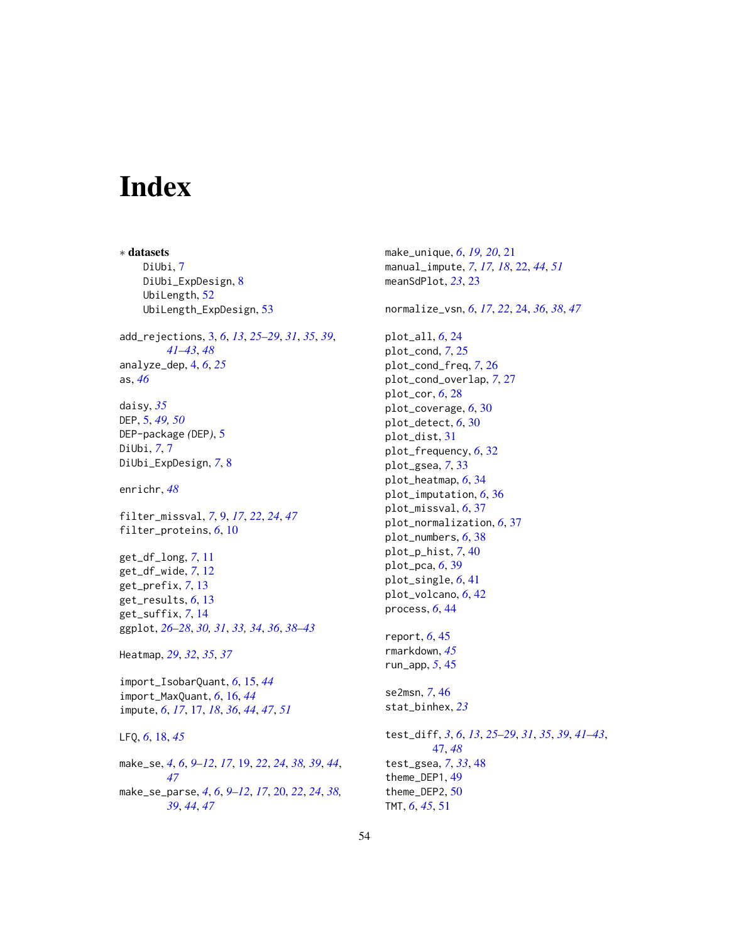# <span id="page-53-0"></span>Index

∗ datasets DiUbi, [7](#page-6-0) DiUbi\_ExpDesign, [8](#page-7-0) UbiLength, [52](#page-51-0) UbiLength\_ExpDesign, [53](#page-52-0) add\_rejections, [3,](#page-2-0) *[6](#page-5-0)*, *[13](#page-12-0)*, *[25–](#page-24-0)[29](#page-28-0)*, *[31](#page-30-0)*, *[35](#page-34-0)*, *[39](#page-38-0)*, *[41](#page-40-0)[–43](#page-42-0)*, *[48](#page-47-0)* analyze\_dep, [4,](#page-3-0) *[6](#page-5-0)*, *[25](#page-24-0)* as, *[46](#page-45-0)* daisy, *[35](#page-34-0)* DEP, [5,](#page-4-0) *[49,](#page-48-0) [50](#page-49-0)* DEP-package *(*DEP*)*, [5](#page-4-0) DiUbi, *[7](#page-6-0)*, [7](#page-6-0) DiUbi\_ExpDesign, *[7](#page-6-0)*, [8](#page-7-0) enrichr, *[48](#page-47-0)* filter\_missval, *[7](#page-6-0)*, [9,](#page-8-0) *[17](#page-16-0)*, *[22](#page-21-0)*, *[24](#page-23-0)*, *[47](#page-46-0)* filter\_proteins, *[6](#page-5-0)*, [10](#page-9-0) get\_df\_long, *[7](#page-6-0)*, [11](#page-10-0) get\_df\_wide, *[7](#page-6-0)*, [12](#page-11-0) get\_prefix, *[7](#page-6-0)*, [13](#page-12-0) get\_results, *[6](#page-5-0)*, [13](#page-12-0) get\_suffix, *[7](#page-6-0)*, [14](#page-13-0) ggplot, *[26](#page-25-0)[–28](#page-27-0)*, *[30,](#page-29-0) [31](#page-30-0)*, *[33,](#page-32-0) [34](#page-33-0)*, *[36](#page-35-0)*, *[38–](#page-37-0)[43](#page-42-0)* Heatmap, *[29](#page-28-0)*, *[32](#page-31-0)*, *[35](#page-34-0)*, *[37](#page-36-0)* import\_IsobarQuant, *[6](#page-5-0)*, [15,](#page-14-0) *[44](#page-43-0)* import\_MaxQuant, *[6](#page-5-0)*, [16,](#page-15-0) *[44](#page-43-0)* impute, *[6](#page-5-0)*, *[17](#page-16-0)*, [17,](#page-16-0) *[18](#page-17-0)*, *[36](#page-35-0)*, *[44](#page-43-0)*, *[47](#page-46-0)*, *[51](#page-50-0)* LFQ, *[6](#page-5-0)*, [18,](#page-17-0) *[45](#page-44-0)* make\_se, *[4](#page-3-0)*, *[6](#page-5-0)*, *[9](#page-8-0)[–12](#page-11-0)*, *[17](#page-16-0)*, [19,](#page-18-0) *[22](#page-21-0)*, *[24](#page-23-0)*, *[38,](#page-37-0) [39](#page-38-0)*, *[44](#page-43-0)*, *[47](#page-46-0)* make\_se\_parse, *[4](#page-3-0)*, *[6](#page-5-0)*, *[9–](#page-8-0)[12](#page-11-0)*, *[17](#page-16-0)*, [20,](#page-19-0) *[22](#page-21-0)*, *[24](#page-23-0)*, *[38,](#page-37-0) [39](#page-38-0)*, *[44](#page-43-0)*, *[47](#page-46-0)*

make\_unique, *[6](#page-5-0)*, *[19,](#page-18-0) [20](#page-19-0)*, [21](#page-20-0) manual\_impute, *[7](#page-6-0)*, *[17,](#page-16-0) [18](#page-17-0)*, [22,](#page-21-0) *[44](#page-43-0)*, *[51](#page-50-0)* meanSdPlot, *[23](#page-22-0)*, [23](#page-22-0) normalize\_vsn, *[6](#page-5-0)*, *[17](#page-16-0)*, *[22](#page-21-0)*, [24,](#page-23-0) *[36](#page-35-0)*, *[38](#page-37-0)*, *[47](#page-46-0)* plot\_all, *[6](#page-5-0)*, [24](#page-23-0) plot\_cond, *[7](#page-6-0)*, [25](#page-24-0) plot\_cond\_freq, *[7](#page-6-0)*, [26](#page-25-0) plot\_cond\_overlap, *[7](#page-6-0)*, [27](#page-26-0) plot\_cor, *[6](#page-5-0)*, [28](#page-27-0) plot\_coverage, *[6](#page-5-0)*, [30](#page-29-0) plot\_detect, *[6](#page-5-0)*, [30](#page-29-0) plot\_dist, [31](#page-30-0) plot\_frequency, *[6](#page-5-0)*, [32](#page-31-0) plot\_gsea, *[7](#page-6-0)*, [33](#page-32-0) plot\_heatmap, *[6](#page-5-0)*, [34](#page-33-0) plot\_imputation, *[6](#page-5-0)*, [36](#page-35-0) plot\_missval, *[6](#page-5-0)*, [37](#page-36-0) plot\_normalization, *[6](#page-5-0)*, [37](#page-36-0) plot\_numbers, *[6](#page-5-0)*, [38](#page-37-0) plot\_p\_hist, *[7](#page-6-0)*, [40](#page-39-0) plot\_pca, *[6](#page-5-0)*, [39](#page-38-0) plot\_single, *[6](#page-5-0)*, [41](#page-40-0) plot\_volcano, *[6](#page-5-0)*, [42](#page-41-0) process, *[6](#page-5-0)*, [44](#page-43-0) report, *[6](#page-5-0)*, [45](#page-44-0) rmarkdown, *[45](#page-44-0)* run\_app, *[5](#page-4-0)*, [45](#page-44-0) se2msn, *[7](#page-6-0)*, [46](#page-45-0) stat\_binhex, *[23](#page-22-0)* test\_diff, *[3](#page-2-0)*, *[6](#page-5-0)*, *[13](#page-12-0)*, *[25](#page-24-0)[–29](#page-28-0)*, *[31](#page-30-0)*, *[35](#page-34-0)*, *[39](#page-38-0)*, *[41](#page-40-0)[–43](#page-42-0)*, [47,](#page-46-0) *[48](#page-47-0)* test\_gsea, *[7](#page-6-0)*, *[33](#page-32-0)*, [48](#page-47-0) theme\_DEP1, [49](#page-48-0) theme\_DEP2, [50](#page-49-0) TMT, *[6](#page-5-0)*, *[45](#page-44-0)*, [51](#page-50-0)